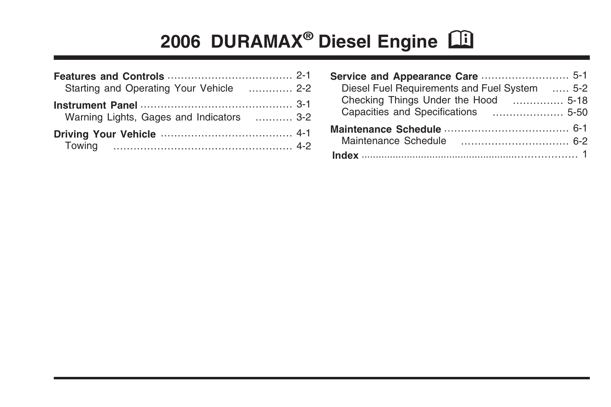# 2006 DURAMAX<sup>®</sup> Diesel Engine **CD**

| Starting and Operating Your Vehicle  2-2  |  |
|-------------------------------------------|--|
| Warning Lights, Gages and Indicators  3-2 |  |
|                                           |  |

| Diesel Fuel Requirements and Fuel System  5-2 |  |
|-----------------------------------------------|--|
| Checking Things Under the Hood  5-18          |  |
|                                               |  |
|                                               |  |
| Maintenance Schedule                          |  |
|                                               |  |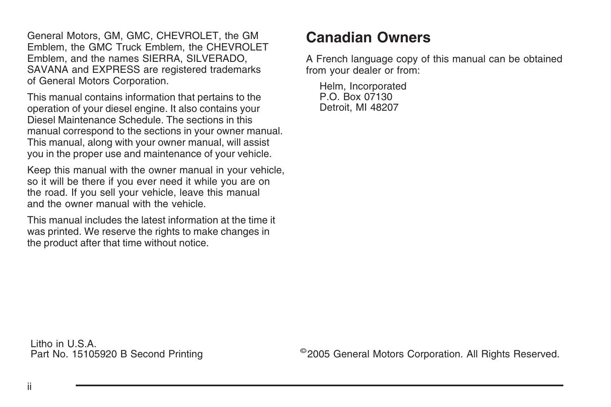General Motors, GM, GMC, CHEVROLET, the GM Emblem, the GMC Truck Emblem, the CHEVROLET Emblem, and the names SIERRA, SILVERADO, SAVANA and EXPRESS are registered trademarks of General Motors Corporation.

This manual contains information that pertains to the operation of your diesel engine. It also contains your Diesel Maintenance Schedule. The sections in this manual correspond to the sections in your owner manual. This manual, along with your owner manual, will assist you in the proper use and maintenance of your vehicle.

Keep this manual with the owner manual in your vehicle, so it will be there if you ever need it while you are on the road. If you sell your vehicle, leave this manual and the owner manual with the vehicle.

This manual includes the latest information at the time it was printed. We reserve the rights to make changes in the product after that time without notice.

## **Canadian Owners**

A French language copy of this manual can be obtained from your dealer or from:

Helm, Incorporated P.O. Box 07130 Detroit, MI 48207

Litho in U.S.A.<br>Part No. 15105920 B Second Printing

©2005 General Motors Corporation. All Rights Reserved.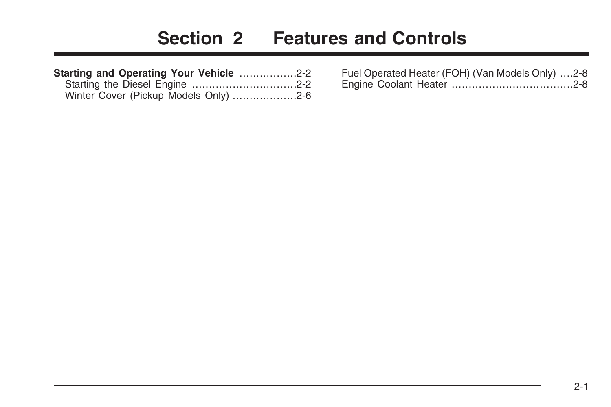# **Section 2 Features and Controls**

<span id="page-2-0"></span>

| Starting and Operating Your Vehicle 2-2 |  |
|-----------------------------------------|--|
|                                         |  |
| Winter Cover (Pickup Models Only) 2-6   |  |

| Fuel Operated Heater (FOH) (Van Models Only) 2-8 |  |
|--------------------------------------------------|--|
|                                                  |  |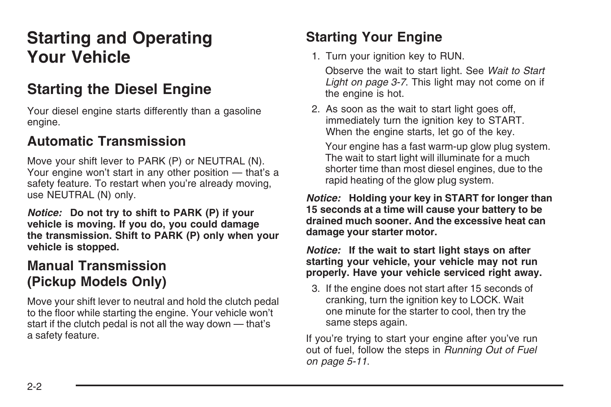# <span id="page-3-0"></span>**Starting and Operating Your Vehicle**

# **Starting the Diesel Engine**

Your diesel engine starts differently than a gasoline engine.

## **Automatic Transmission**

Move your shift lever to PARK (P) or NEUTRAL (N). Your engine won't start in any other position — that's a safety feature. To restart when you're already moving, use NEUTRAL (N) only.

*Notice:* **Do not try to shift to PARK (P) if your vehicle is moving. If you do, you could damage the transmission. Shift to PARK (P) only when your vehicle is stopped.**

#### **Manual Transmission (Pickup Models Only)**

Move your shift lever to neutral and hold the clutch pedal to the floor while starting the engine. Your vehicle won't start if the clutch pedal is not all the way down — that's a safety feature.

## **Starting Your Engine**

1. Turn your ignition key to RUN.

Observe the wait to start light. See *[Wait to Start](#page-18-0) [Light](#page-18-0) on page 3-7*. This light may not come on if the engine is hot.

2. As soon as the wait to start light goes off, immediately turn the ignition key to START. When the engine starts, let go of the key.

Your engine has a fast warm-up glow plug system. The wait to start light will illuminate for a much shorter time than most diesel engines, due to the rapid heating of the glow plug system.

*Notice:* **Holding your key in START for longer than 15 seconds at a time will cause your battery to be drained much sooner. And the excessive heat can damage your starter motor.**

*Notice:* **If the wait to start light stays on after starting your vehicle, your vehicle may not run properly. Have your vehicle serviced right away.**

3. If the engine does not start after 15 seconds of cranking, turn the ignition key to LOCK. Wait one minute for the starter to cool, then try the same steps again.

If you're trying to start your engine after you've run out of fuel, follow the steps in *[Running Out of Fuel](#page-34-0) on page 5-11*.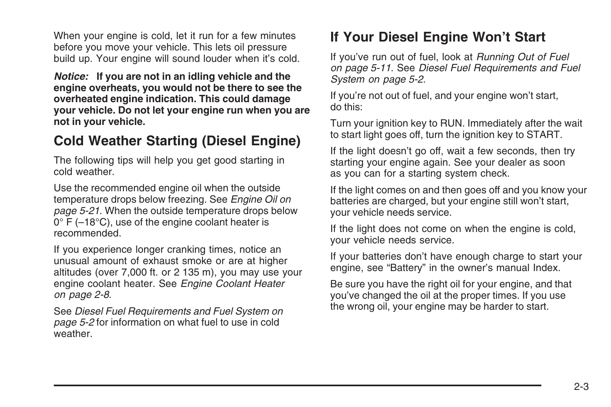When your engine is cold, let it run for a few minutes before you move your vehicle. This lets oil pressure build up. Your engine will sound louder when it's cold.

*Notice:* **If you are not in an idling vehicle and the engine overheats, you would not be there to see the overheated engine indication. This could damage your vehicle. Do not let your engine run when you are not in your vehicle.**

### **Cold Weather Starting (Diesel Engine)**

The following tips will help you get good starting in cold weather.

Use the recommended engine oil when the outside temperature drops below freezing. See *[Engine Oil](#page-44-0) on page 5-21*. When the outside temperature drops below 0° F (–18°C), use of the engine coolant heater is recommended.

If you experience longer cranking times, notice an unusual amount of exhaust smoke or are at higher altitudes (over 7,000 ft. or 2 135 m), you may use your engine coolant heater. See *[Engine Coolant Heater](#page-9-0) on page 2-8*.

See *[Diesel Fuel Requirements and Fuel System](#page-25-0) on page 5-2* for information on what fuel to use in cold weather.

## **If Your Diesel Engine Won't Start**

If you've run out of fuel, look at *[Running Out of Fuel](#page-34-0) on page 5-11*. See *[Diesel Fuel Requirements and Fuel](#page-25-0) [System](#page-25-0) on page 5-2*.

If you're not out of fuel, and your engine won't start, do this:

Turn your ignition key to RUN. Immediately after the wait to start light goes off, turn the ignition key to START.

If the light doesn't go off, wait a few seconds, then try starting your engine again. See your dealer as soon as you can for a starting system check.

If the light comes on and then goes off and you know your batteries are charged, but your engine still won't start, your vehicle needs service.

If the light does not come on when the engine is cold, your vehicle needs service.

If your batteries don't have enough charge to start your engine, see "Battery" in the owner's manual Index.

Be sure you have the right oil for your engine, and that you've changed the oil at the proper times. If you use the wrong oil, your engine may be harder to start.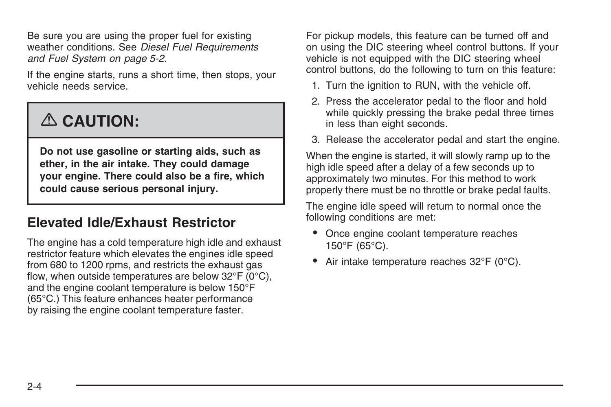Be sure you are using the proper fuel for existing weather conditions. See *[Diesel Fuel Requirements](#page-25-0) [and Fuel System](#page-25-0) on page 5-2*.

If the engine starts, runs a short time, then stops, your vehicle needs service.

# {**CAUTION:**

**Do not use gasoline or starting aids, such as ether, in the air intake. They could damage your engine. There could also be a fire, which could cause serious personal injury.**

### **Elevated Idle/Exhaust Restrictor**

The engine has a cold temperature high idle and exhaust restrictor feature which elevates the engines idle speed from 680 to 1200 rpms, and restricts the exhaust gas flow, when outside temperatures are below  $32^{\circ}F$  (0 $^{\circ}C$ ). and the engine coolant temperature is below 150°F (65°C.) This feature enhances heater performance by raising the engine coolant temperature faster.

For pickup models, this feature can be turned off and on using the DIC steering wheel control buttons. If your vehicle is not equipped with the DIC steering wheel control buttons, do the following to turn on this feature:

- 1. Turn the ignition to RUN, with the vehicle off.
- 2. Press the accelerator pedal to the floor and hold while quickly pressing the brake pedal three times in less than eight seconds.
- 3. Release the accelerator pedal and start the engine.

When the engine is started, it will slowly ramp up to the high idle speed after a delay of a few seconds up to approximately two minutes. For this method to work properly there must be no throttle or brake pedal faults.

The engine idle speed will return to normal once the following conditions are met:

- Once engine coolant temperature reaches 150°F (65°C).
- Air intake temperature reaches 32°F (0°C).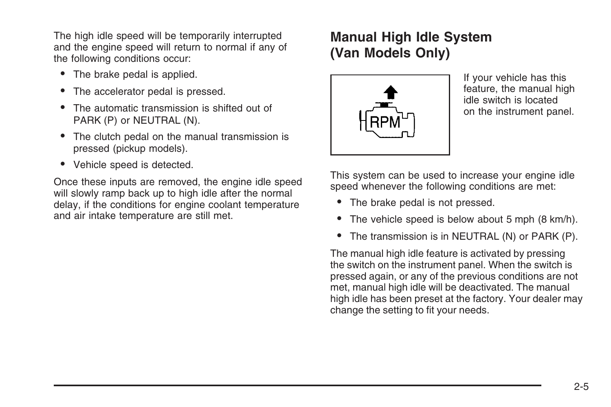The high idle speed will be temporarily interrupted and the engine speed will return to normal if any of the following conditions occur:

- The brake pedal is applied.
- The accelerator pedal is pressed.
- The automatic transmission is shifted out of PARK (P) or NEUTRAL (N).
- The clutch pedal on the manual transmission is pressed (pickup models).
- Vehicle speed is detected.

Once these inputs are removed, the engine idle speed will slowly ramp back up to high idle after the normal delay, if the conditions for engine coolant temperature and air intake temperature are still met.

## **Manual High Idle System (Van Models Only)**



If your vehicle has this feature, the manual high idle switch is located on the instrument panel.

This system can be used to increase your engine idle speed whenever the following conditions are met:

- The brake pedal is not pressed.
- The vehicle speed is below about 5 mph (8 km/h).
- The transmission is in NEUTRAL (N) or PARK (P).

The manual high idle feature is activated by pressing the switch on the instrument panel. When the switch is pressed again, or any of the previous conditions are not met, manual high idle will be deactivated. The manual high idle has been preset at the factory. Your dealer may change the setting to fit your needs.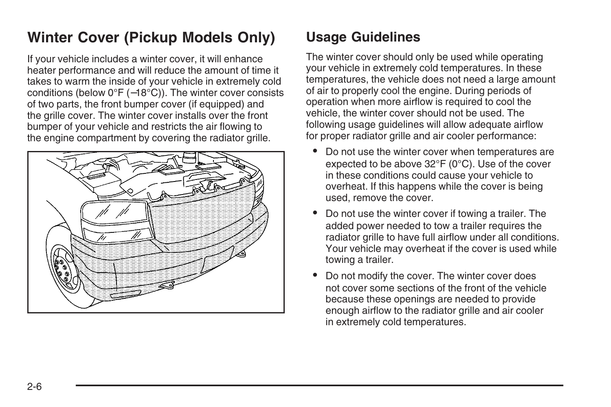# <span id="page-7-0"></span>**Winter Cover (Pickup Models Only)**

If your vehicle includes a winter cover, it will enhance heater performance and will reduce the amount of time it takes to warm the inside of your vehicle in extremely cold conditions (below 0°F (−18°C)). The winter cover consists of two parts, the front bumper cover (if equipped) and the grille cover. The winter cover installs over the front bumper of your vehicle and restricts the air flowing to the engine compartment by covering the radiator grille.



# **Usage Guidelines**

The winter cover should only be used while operating your vehicle in extremely cold temperatures. In these temperatures, the vehicle does not need a large amount of air to properly cool the engine. During periods of operation when more airflow is required to cool the vehicle, the winter cover should not be used. The following usage guidelines will allow adequate airflow for proper radiator grille and air cooler performance:

- Do not use the winter cover when temperatures are expected to be above 32°F (0°C). Use of the cover in these conditions could cause your vehicle to overheat. If this happens while the cover is being used, remove the cover.
- Do not use the winter cover if towing a trailer. The added power needed to tow a trailer requires the radiator grille to have full airflow under all conditions. Your vehicle may overheat if the cover is used while towing a trailer.
- Do not modify the cover. The winter cover does not cover some sections of the front of the vehicle because these openings are needed to provide enough airflow to the radiator grille and air cooler in extremely cold temperatures.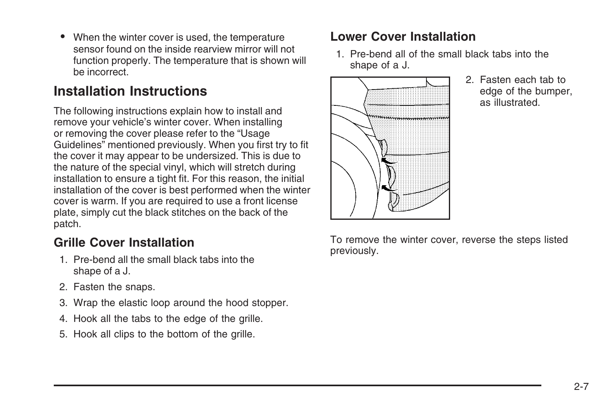• When the winter cover is used, the temperature sensor found on the inside rearview mirror will not function properly. The temperature that is shown will be incorrect.

### **Installation Instructions**

The following instructions explain how to install and remove your vehicle's winter cover. When installing or removing the cover please refer to the "Usage Guidelines" mentioned previously. When you first try to fit the cover it may appear to be undersized. This is due to the nature of the special vinyl, which will stretch during installation to ensure a tight fit. For this reason, the initial installation of the cover is best performed when the winter cover is warm. If you are required to use a front license plate, simply cut the black stitches on the back of the patch.

#### **Grille Cover Installation**

- 1. Pre-bend all the small black tabs into the shape of a J.
- 2. Fasten the snaps.
- 3. Wrap the elastic loop around the hood stopper.
- 4. Hook all the tabs to the edge of the grille.
- 5. Hook all clips to the bottom of the grille.

#### **Lower Cover Installation**

1. Pre-bend all of the small black tabs into the shape of a J.



2. Fasten each tab to edge of the bumper, as illustrated.

To remove the winter cover, reverse the steps listed previously.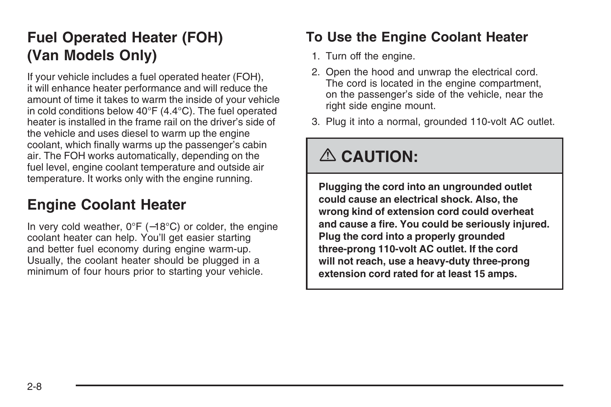# <span id="page-9-0"></span>**Fuel Operated Heater (FOH) (Van Models Only)**

If your vehicle includes a fuel operated heater (FOH), it will enhance heater performance and will reduce the amount of time it takes to warm the inside of your vehicle in cold conditions below 40°F (4.4°C). The fuel operated heater is installed in the frame rail on the driver's side of the vehicle and uses diesel to warm up the engine coolant, which finally warms up the passenger's cabin air. The FOH works automatically, depending on the fuel level, engine coolant temperature and outside air temperature. It works only with the engine running.

# **Engine Coolant Heater**

In very cold weather, 0°F (−18°C) or colder, the engine coolant heater can help. You'll get easier starting and better fuel economy during engine warm-up. Usually, the coolant heater should be plugged in a minimum of four hours prior to starting your vehicle.

## **To Use the Engine Coolant Heater**

- 1. Turn off the engine.
- 2. Open the hood and unwrap the electrical cord. The cord is located in the engine compartment, on the passenger's side of the vehicle, near the right side engine mount.
- 3. Plug it into a normal, grounded 110-volt AC outlet.

# {**CAUTION:**

**Plugging the cord into an ungrounded outlet could cause an electrical shock. Also, the wrong kind of extension cord could overheat and cause a fire. You could be seriously injured. Plug the cord into a properly grounded three-prong 110-volt AC outlet. If the cord will not reach, use a heavy-duty three-prong extension cord rated for at least 15 amps.**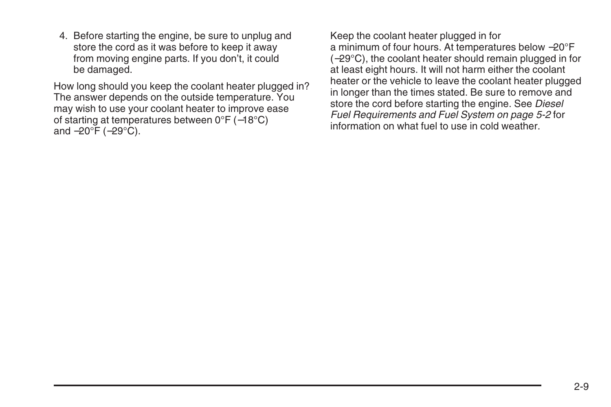4. Before starting the engine, be sure to unplug and store the cord as it was before to keep it away from moving engine parts. If you don't, it could be damaged.

How long should you keep the coolant heater plugged in? The answer depends on the outside temperature. You may wish to use your coolant heater to improve ease of starting at temperatures between 0°F (−18°C) and −20°F (−29°C).

Keep the coolant heater plugged in for a minimum of four hours. At temperatures below −20°F (−29°C), the coolant heater should remain plugged in for at least eight hours. It will not harm either the coolant heater or the vehicle to leave the coolant heater plugged in longer than the times stated. Be sure to remove and store the cord before starting the engine. See *[Diesel](#page-25-0) [Fuel Requirements and Fuel System](#page-25-0) on page 5-2* for information on what fuel to use in cold weather.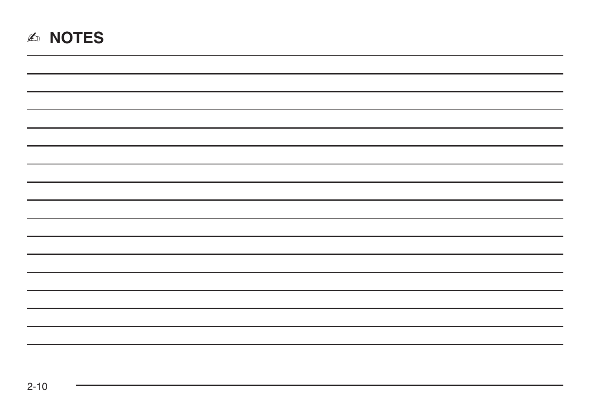|  |  | <b>NOTES</b> |  |
|--|--|--------------|--|
|--|--|--------------|--|

| - |  |  |
|---|--|--|
|   |  |  |
|   |  |  |
|   |  |  |
|   |  |  |
|   |  |  |
|   |  |  |
|   |  |  |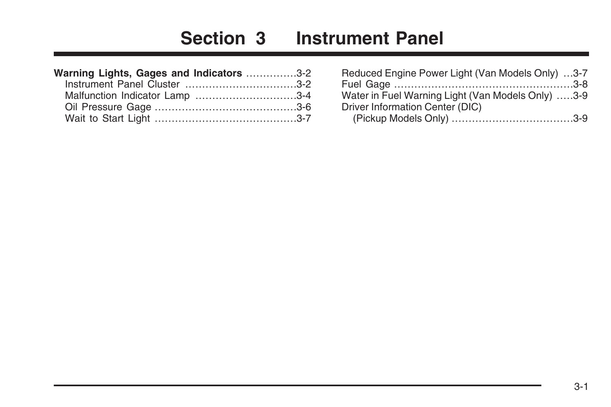# **Section 3 Instrument Panel**

<span id="page-12-0"></span>

| Warning Lights, Gages and Indicators 3-2 |  |
|------------------------------------------|--|
| Instrument Panel Cluster 3-2             |  |
| Malfunction Indicator Lamp 3-4           |  |
|                                          |  |
|                                          |  |

| Reduced Engine Power Light (Van Models Only) 3-7  |  |
|---------------------------------------------------|--|
|                                                   |  |
| Water in Fuel Warning Light (Van Models Only) 3-9 |  |
| Driver Information Center (DIC)                   |  |
|                                                   |  |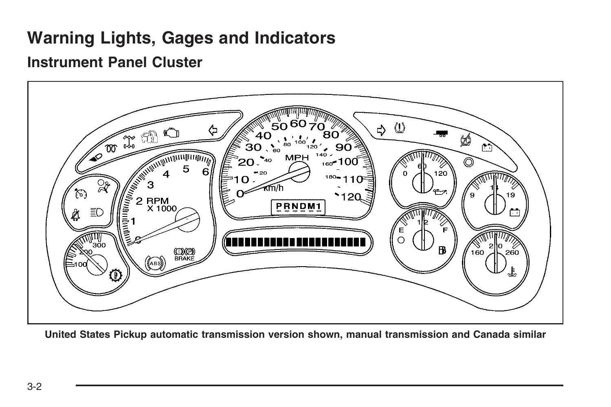# <span id="page-13-0"></span>**Warning Lights, Gages and Indicators**

### **Instrument Panel Cluster**



**United States Pickup automatic transmission version shown, manual transmission and Canada similar**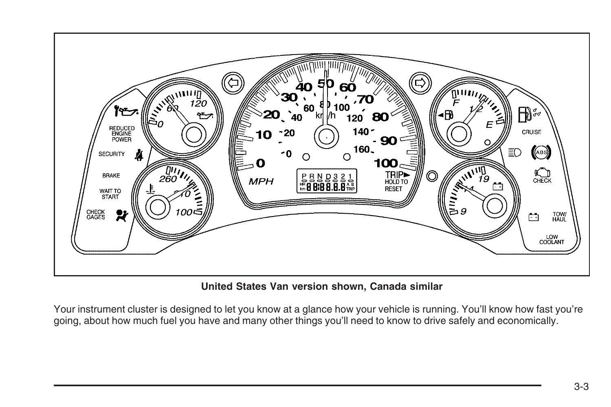

#### **United States Van version shown, Canada similar**

Your instrument cluster is designed to let you know at a glance how your vehicle is running. You'll know how fast you're going, about how much fuel you have and many other things you'll need to know to drive safely and economically.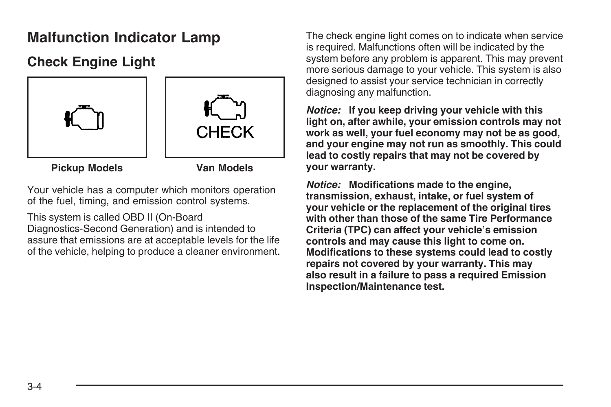# <span id="page-15-0"></span>**Malfunction Indicator Lamp**

## **Check Engine Light**



**Pickup Models Van Models**

Your vehicle has a computer which monitors operation of the fuel, timing, and emission control systems.

This system is called OBD II (On-Board Diagnostics-Second Generation) and is intended to assure that emissions are at acceptable levels for the life of the vehicle, helping to produce a cleaner environment.

The check engine light comes on to indicate when service is required. Malfunctions often will be indicated by the system before any problem is apparent. This may prevent more serious damage to your vehicle. This system is also designed to assist your service technician in correctly diagnosing any malfunction.

*Notice:* **If you keep driving your vehicle with this light on, after awhile, your emission controls may not work as well, your fuel economy may not be as good, and your engine may not run as smoothly. This could lead to costly repairs that may not be covered by your warranty.**

*Notice:* **Modifications made to the engine, transmission, exhaust, intake, or fuel system of your vehicle or the replacement of the original tires with other than those of the same Tire Performance Criteria (TPC) can affect your vehicle's emission controls and may cause this light to come on. Modifications to these systems could lead to costly repairs not covered by your warranty. This may also result in a failure to pass a required Emission Inspection/Maintenance test.**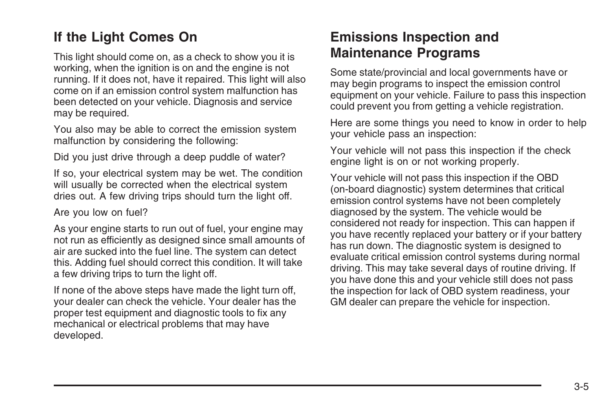## **If the Light Comes On**

This light should come on, as a check to show you it is working, when the ignition is on and the engine is not running. If it does not, have it repaired. This light will also come on if an emission control system malfunction has been detected on your vehicle. Diagnosis and service may be required.

You also may be able to correct the emission system malfunction by considering the following:

Did you just drive through a deep puddle of water?

If so, your electrical system may be wet. The condition will usually be corrected when the electrical system dries out. A few driving trips should turn the light off.

Are you low on fuel?

As your engine starts to run out of fuel, your engine may not run as efficiently as designed since small amounts of air are sucked into the fuel line. The system can detect this. Adding fuel should correct this condition. It will take a few driving trips to turn the light off.

If none of the above steps have made the light turn off, your dealer can check the vehicle. Your dealer has the proper test equipment and diagnostic tools to fix any mechanical or electrical problems that may have developed.

#### **Emissions Inspection and Maintenance Programs**

Some state/provincial and local governments have or may begin programs to inspect the emission control equipment on your vehicle. Failure to pass this inspection could prevent you from getting a vehicle registration.

Here are some things you need to know in order to help your vehicle pass an inspection:

Your vehicle will not pass this inspection if the check engine light is on or not working properly.

Your vehicle will not pass this inspection if the OBD (on-board diagnostic) system determines that critical emission control systems have not been completely diagnosed by the system. The vehicle would be considered not ready for inspection. This can happen if you have recently replaced your battery or if your battery has run down. The diagnostic system is designed to evaluate critical emission control systems during normal driving. This may take several days of routine driving. If you have done this and your vehicle still does not pass the inspection for lack of OBD system readiness, your GM dealer can prepare the vehicle for inspection.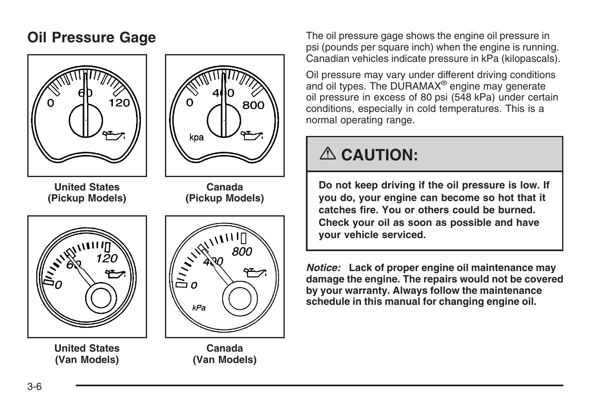

**United States (Van Models)**



**Canada (Pickup Models)**

 $\frac{1}{1}$ 800  $kPa$ 

#### **Canada (Van Models)**

<span id="page-17-0"></span>**Oil Pressure Gage** The oil pressure gage shows the engine oil pressure in psi (pounds per square inch) when the engine is running. Canadian vehicles indicate pressure in kPa (kilopascals).

> Oil pressure may vary under different driving conditions and oil types. The DURAMAX® engine may generate oil pressure in excess of 80 psi (548 kPa) under certain conditions, especially in cold temperatures. This is a normal operating range.

# {**CAUTION:**

**Do not keep driving if the oil pressure is low. If you do, your engine can become so hot that it catches fire. You or others could be burned. Check your oil as soon as possible and have your vehicle serviced.**

*Notice:* **Lack of proper engine oil maintenance may damage the engine. The repairs would not be covered by your warranty. Always follow the maintenance schedule in this manual for changing engine oil.**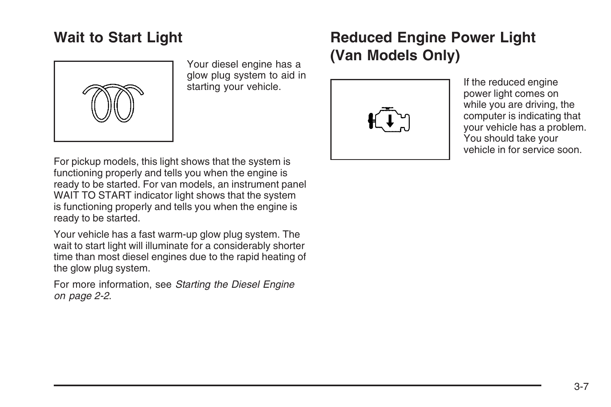## <span id="page-18-0"></span>**Wait to Start Light**



Your diesel engine has a glow plug system to aid in starting your vehicle.

# **Reduced Engine Power Light (Van Models Only)**



If the reduced engine power light comes on while you are driving, the computer is indicating that your vehicle has a problem. You should take your vehicle in for service soon.

For pickup models, this light shows that the system is functioning properly and tells you when the engine is ready to be started. For van models, an instrument panel WAIT TO START indicator light shows that the system is functioning properly and tells you when the engine is ready to be started.

Your vehicle has a fast warm-up glow plug system. The wait to start light will illuminate for a considerably shorter time than most diesel engines due to the rapid heating of the glow plug system.

For more information, see *[Starting the Diesel Engine](#page-3-0) on page 2-2*.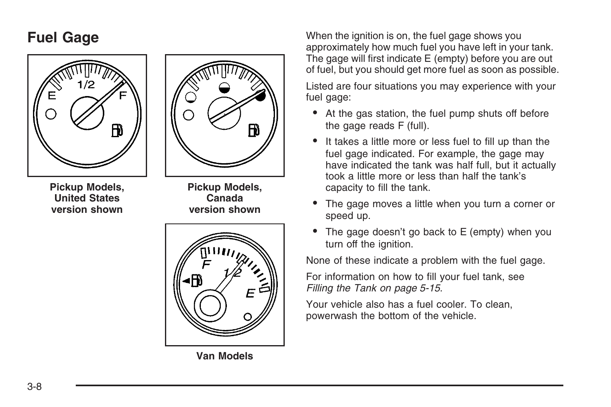



**Pickup Models, United States version shown**

**Pickup Models, Canada version shown**



**Van Models**

<span id="page-19-0"></span>**Fuel Gage** When the ignition is on, the fuel gage shows you approximately how much fuel you have left in your tank. The gage will first indicate E (empty) before you are out of fuel, but you should get more fuel as soon as possible.

> Listed are four situations you may experience with your fuel gage:

- At the gas station, the fuel pump shuts off before the gage reads F (full).
- It takes a little more or less fuel to fill up than the fuel gage indicated. For example, the gage may have indicated the tank was half full, but it actually took a little more or less than half the tank's capacity to fill the tank.
- The gage moves a little when you turn a corner or speed up.
- The gage doesn't go back to E (empty) when you turn off the ignition.

None of these indicate a problem with the fuel gage.

For information on how to fill your fuel tank, see *[Filling the Tank](#page-38-0) on page 5-15*.

Your vehicle also has a fuel cooler. To clean, powerwash the bottom of the vehicle.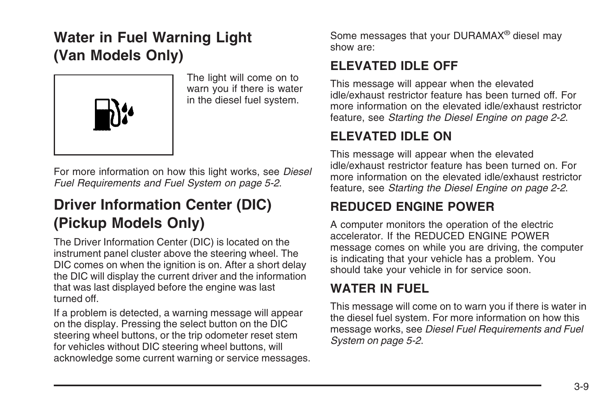# <span id="page-20-0"></span>**Water in Fuel Warning Light (Van Models Only)**



The light will come on to warn you if there is water in the diesel fuel system.

For more information on how this light works, see *[Diesel](#page-25-0) [Fuel Requirements and Fuel System](#page-25-0) on page 5-2*.

# **Driver Information Center (DIC) (Pickup Models Only)**

The Driver Information Center (DIC) is located on the instrument panel cluster above the steering wheel. The DIC comes on when the ignition is on. After a short delay the DIC will display the current driver and the information that was last displayed before the engine was last turned off.

If a problem is detected, a warning message will appear on the display. Pressing the select button on the DIC steering wheel buttons, or the trip odometer reset stem for vehicles without DIC steering wheel buttons, will acknowledge some current warning or service messages. Some messages that your DURAMAX® diesel may show are:

#### **ELEVATED IDLE OFF**

This message will appear when the elevated idle/exhaust restrictor feature has been turned off. For more information on the elevated idle/exhaust restrictor feature, see *[Starting the Diesel Engine](#page-3-0) on page 2-2*.

#### **ELEVATED IDLE ON**

This message will appear when the elevated idle/exhaust restrictor feature has been turned on. For more information on the elevated idle/exhaust restrictor feature, see *[Starting the Diesel Engine](#page-3-0) on page 2-2*.

### **REDUCED ENGINE POWER**

A computer monitors the operation of the electric accelerator. If the REDUCED ENGINE POWER message comes on while you are driving, the computer is indicating that your vehicle has a problem. You should take your vehicle in for service soon.

### **WATER IN FUEL**

This message will come on to warn you if there is water in the diesel fuel system. For more information on how this message works, see *[Diesel Fuel Requirements and Fuel](#page-25-0) [System](#page-25-0) on page 5-2*.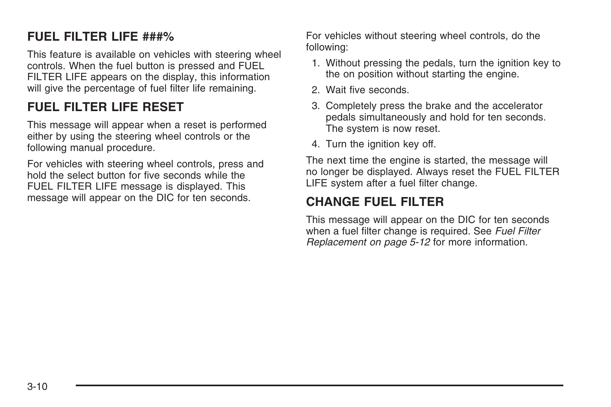#### **FUEL FILTER LIFE ###%**

This feature is available on vehicles with steering wheel controls. When the fuel button is pressed and FUEL FILTER LIFE appears on the display, this information will give the percentage of fuel filter life remaining.

#### **FUEL FILTER LIFE RESET**

This message will appear when a reset is performed either by using the steering wheel controls or the following manual procedure.

For vehicles with steering wheel controls, press and hold the select button for five seconds while the FUEL FILTER LIFE message is displayed. This message will appear on the DIC for ten seconds.

For vehicles without steering wheel controls, do the following:

- 1. Without pressing the pedals, turn the ignition key to the on position without starting the engine.
- 2. Wait five seconds.
- 3. Completely press the brake and the accelerator pedals simultaneously and hold for ten seconds. The system is now reset.
- 4. Turn the ignition key off.

The next time the engine is started, the message will no longer be displayed. Always reset the FUEL FILTER LIFE system after a fuel filter change.

#### **CHANGE FUEL FILTER**

This message will appear on the DIC for ten seconds when a fuel filter change is required. See *[Fuel Filter](#page-35-0) [Replacement](#page-35-0) on page 5-12* for more information.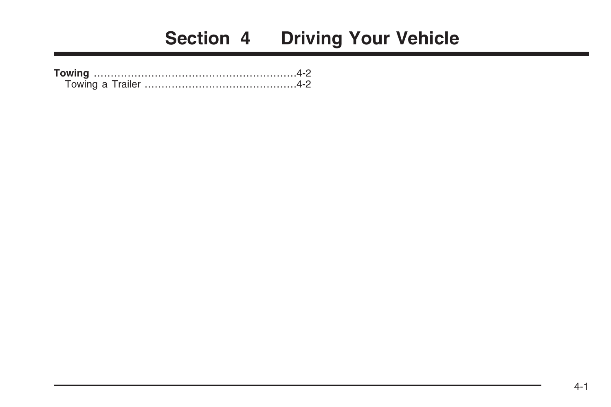# **Section 4 Driving Your Vehicle**

<span id="page-22-0"></span>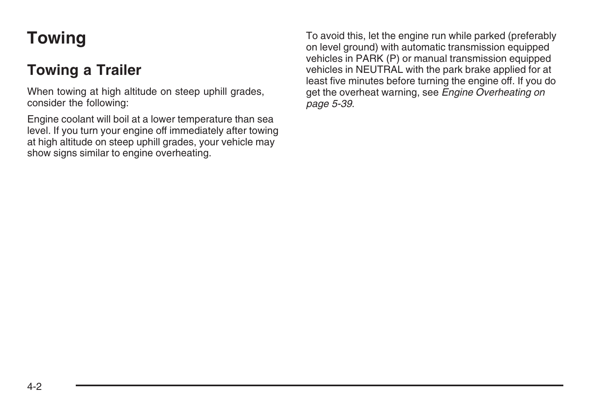# <span id="page-23-0"></span>**Towing**

# **Towing a Trailer**

When towing at high altitude on steep uphill grades, consider the following:

Engine coolant will boil at a lower temperature than sea level. If you turn your engine off immediately after towing at high altitude on steep uphill grades, your vehicle may show signs similar to engine overheating.

To avoid this, let the engine run while parked (preferably on level ground) with automatic transmission equipped vehicles in PARK (P) or manual transmission equipped vehicles in NEUTRAL with the park brake applied for at least five minutes before turning the engine off. If you do get the overheat warning, see *[Engine Overheating](#page-62-0) on page 5-39*.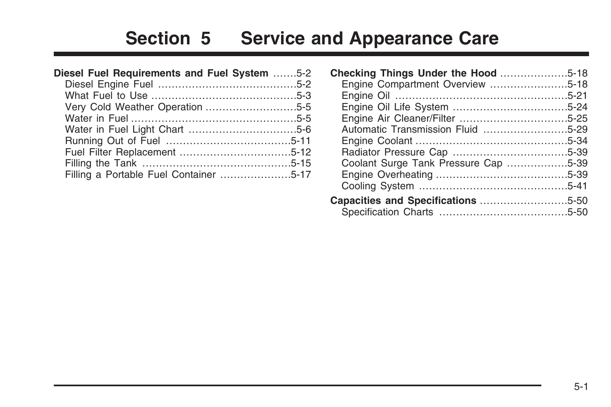# **Section 5 Service and Appearance Care**

<span id="page-24-0"></span>

| Diesel Fuel Requirements and Fuel System 5-2 |  |
|----------------------------------------------|--|
|                                              |  |
|                                              |  |
|                                              |  |
|                                              |  |
|                                              |  |
|                                              |  |
|                                              |  |
|                                              |  |
| Filling a Portable Fuel Container 5-17       |  |

| Checking Things Under the Hood 5-18  |  |
|--------------------------------------|--|
| Engine Compartment Overview 5-18     |  |
|                                      |  |
|                                      |  |
|                                      |  |
| Automatic Transmission Fluid 5-29    |  |
|                                      |  |
|                                      |  |
| Coolant Surge Tank Pressure Cap 5-39 |  |
|                                      |  |
|                                      |  |
|                                      |  |
|                                      |  |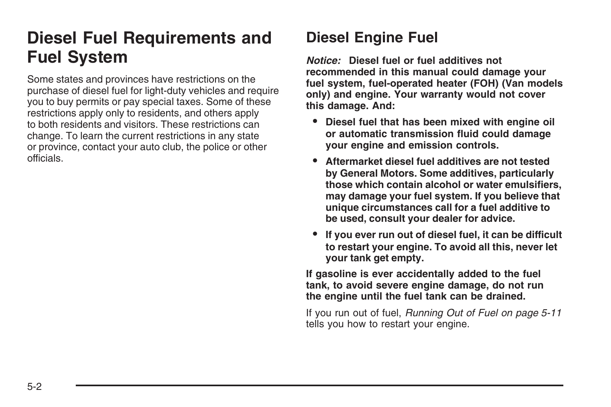# <span id="page-25-0"></span>**Diesel Fuel Requirements and Fuel System**

Some states and provinces have restrictions on the purchase of diesel fuel for light-duty vehicles and require you to buy permits or pay special taxes. Some of these restrictions apply only to residents, and others apply to both residents and visitors. These restrictions can change. To learn the current restrictions in any state or province, contact your auto club, the police or other officials.

# **Diesel Engine Fuel**

*Notice:* **Diesel fuel or fuel additives not recommended in this manual could damage your fuel system, fuel-operated heater (FOH) (Van models only) and engine. Your warranty would not cover this damage. And:**

- **• Diesel fuel that has been mixed with engine oil or automatic transmission fluid could damage your engine and emission controls.**
- **• Aftermarket diesel fuel additives are not tested by General Motors. Some additives, particularly those which contain alcohol or water emulsifiers, may damage your fuel system. If you believe that unique circumstances call for a fuel additive to be used, consult your dealer for advice.**
- **• If you ever run out of diesel fuel, it can be difficult to restart your engine. To avoid all this, never let your tank get empty.**

**If gasoline is ever accidentally added to the fuel tank, to avoid severe engine damage, do not run the engine until the fuel tank can be drained.**

If you run out of fuel, *[Running Out of Fuel](#page-34-0) on page 5-11* tells you how to restart your engine.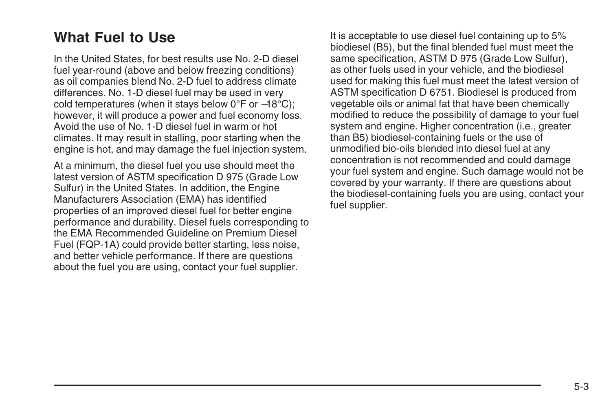## <span id="page-26-0"></span>**What Fuel to Use**

In the United States, for best results use No. 2-D diesel fuel year-round (above and below freezing conditions) as oil companies blend No. 2-D fuel to address climate differences. No. 1-D diesel fuel may be used in very cold temperatures (when it stays below 0°F or −18°C); however, it will produce a power and fuel economy loss. Avoid the use of No. 1-D diesel fuel in warm or hot climates. It may result in stalling, poor starting when the engine is hot, and may damage the fuel injection system.

At a minimum, the diesel fuel you use should meet the latest version of ASTM specification D 975 (Grade Low Sulfur) in the United States. In addition, the Engine Manufacturers Association (EMA) has identified properties of an improved diesel fuel for better engine performance and durability. Diesel fuels corresponding to the EMA Recommended Guideline on Premium Diesel Fuel (FQP-1A) could provide better starting, less noise, and better vehicle performance. If there are questions about the fuel you are using, contact your fuel supplier.

It is acceptable to use diesel fuel containing up to 5% biodiesel (B5), but the final blended fuel must meet the same specification, ASTM D 975 (Grade Low Sulfur), as other fuels used in your vehicle, and the biodiesel used for making this fuel must meet the latest version of ASTM specification D 6751. Biodiesel is produced from vegetable oils or animal fat that have been chemically modified to reduce the possibility of damage to your fuel system and engine. Higher concentration (i.e., greater than B5) biodiesel-containing fuels or the use of unmodified bio-oils blended into diesel fuel at any concentration is not recommended and could damage your fuel system and engine. Such damage would not be covered by your warranty. If there are questions about the biodiesel-containing fuels you are using, contact your fuel supplier.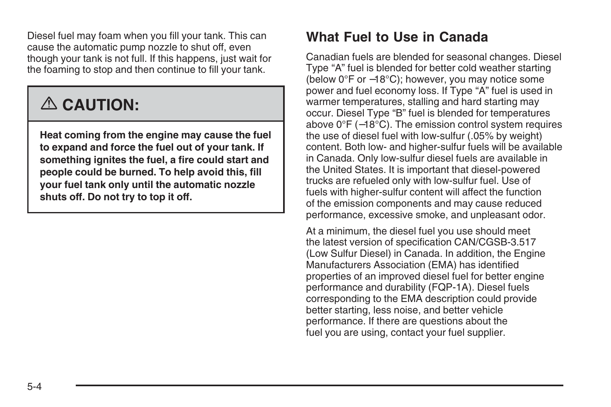Diesel fuel may foam when you fill your tank. This can cause the automatic pump nozzle to shut off, even though your tank is not full. If this happens, just wait for the foaming to stop and then continue to fill your tank.

# {**CAUTION:**

**Heat coming from the engine may cause the fuel to expand and force the fuel out of your tank. If something ignites the fuel, a fire could start and people could be burned. To help avoid this, fill your fuel tank only until the automatic nozzle shuts off. Do not try to top it off.**

## **What Fuel to Use in Canada**

Canadian fuels are blended for seasonal changes. Diesel Type "A" fuel is blended for better cold weather starting (below 0°F or −18°C); however, you may notice some power and fuel economy loss. If Type "A" fuel is used in warmer temperatures, stalling and hard starting may occur. Diesel Type "B" fuel is blended for temperatures above 0°F (−18°C). The emission control system requires the use of diesel fuel with low-sulfur (.05% by weight) content. Both low- and higher-sulfur fuels will be available in Canada. Only low-sulfur diesel fuels are available in the United States. It is important that diesel-powered trucks are refueled only with low-sulfur fuel. Use of fuels with higher-sulfur content will affect the function of the emission components and may cause reduced performance, excessive smoke, and unpleasant odor.

At a minimum, the diesel fuel you use should meet the latest version of specification CAN/CGSB-3.517 (Low Sulfur Diesel) in Canada. In addition, the Engine Manufacturers Association (EMA) has identified properties of an improved diesel fuel for better engine performance and durability (FQP-1A). Diesel fuels corresponding to the EMA description could provide better starting, less noise, and better vehicle performance. If there are questions about the fuel you are using, contact your fuel supplier.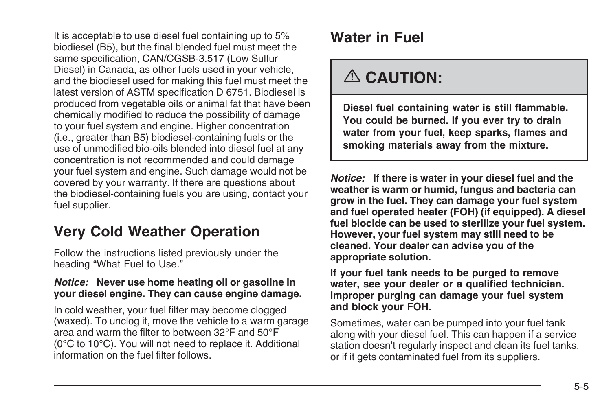<span id="page-28-0"></span>It is acceptable to use diesel fuel containing up to 5% biodiesel (B5), but the final blended fuel must meet the same specification, CAN/CGSB-3.517 (Low Sulfur Diesel) in Canada, as other fuels used in your vehicle, and the biodiesel used for making this fuel must meet the latest version of ASTM specification D 6751. Biodiesel is produced from vegetable oils or animal fat that have been chemically modified to reduce the possibility of damage to your fuel system and engine. Higher concentration (i.e., greater than B5) biodiesel-containing fuels or the use of unmodified bio-oils blended into diesel fuel at any concentration is not recommended and could damage your fuel system and engine. Such damage would not be covered by your warranty. If there are questions about the biodiesel-containing fuels you are using, contact your fuel supplier.

## **Very Cold Weather Operation**

Follow the instructions listed previously under the heading "What Fuel to Use."

#### *Notice:* **Never use home heating oil or gasoline in your diesel engine. They can cause engine damage.**

In cold weather, your fuel filter may become clogged (waxed). To unclog it, move the vehicle to a warm garage area and warm the filter to between 32°F and 50°F (0°C to 10°C). You will not need to replace it. Additional information on the fuel filter follows.

# **Water in Fuel**

# {**CAUTION:**

**Diesel fuel containing water is still flammable. You could be burned. If you ever try to drain water from your fuel, keep sparks, flames and smoking materials away from the mixture.**

*Notice:* **If there is water in your diesel fuel and the weather is warm or humid, fungus and bacteria can grow in the fuel. They can damage your fuel system and fuel operated heater (FOH) (if equipped). A diesel fuel biocide can be used to sterilize your fuel system. However, your fuel system may still need to be cleaned. Your dealer can advise you of the appropriate solution.**

**If your fuel tank needs to be purged to remove water, see your dealer or a qualified technician. Improper purging can damage your fuel system and block your FOH.**

Sometimes, water can be pumped into your fuel tank along with your diesel fuel. This can happen if a service station doesn't regularly inspect and clean its fuel tanks, or if it gets contaminated fuel from its suppliers.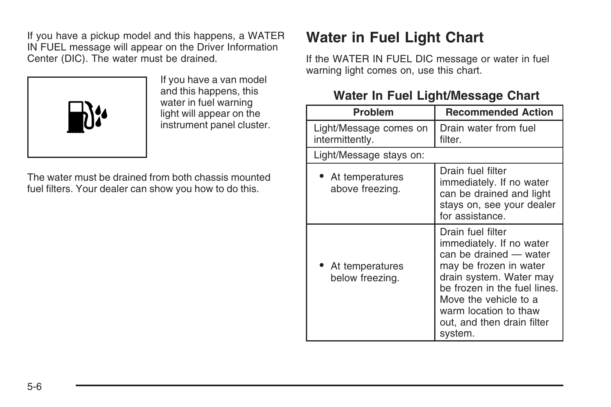<span id="page-29-0"></span>If you have a pickup model and this happens, a WATER IN FUEL message will appear on the Driver Information Center (DIC). The water must be drained.



If you have a van model and this happens, this water in fuel warning light will appear on the instrument panel cluster.

The water must be drained from both chassis mounted fuel filters. Your dealer can show you how to do this.

# **Water in Fuel Light Chart**

If the WATER IN FUEL DIC message or water in fuel warning light comes on, use this chart.

#### **Water In Fuel Light/Message Chart**

| <b>Problem</b>                            | <b>Recommended Action</b>                                                                                                                                                                                                                               |
|-------------------------------------------|---------------------------------------------------------------------------------------------------------------------------------------------------------------------------------------------------------------------------------------------------------|
| Light/Message comes on<br>intermittently. | Drain water from fuel<br>filter.                                                                                                                                                                                                                        |
| Light/Message stays on:                   |                                                                                                                                                                                                                                                         |
| • At temperatures<br>above freezing.      | Drain fuel filter<br>immediately. If no water<br>can be drained and light<br>stays on, see your dealer<br>for assistance.                                                                                                                               |
| • At temperatures<br>below freezing.      | Drain fuel filter<br>immediately. If no water<br>can be drained - water<br>may be frozen in water<br>drain system. Water may<br>be frozen in the fuel lines.<br>Move the vehicle to a<br>warm location to thaw<br>out, and then drain filter<br>system. |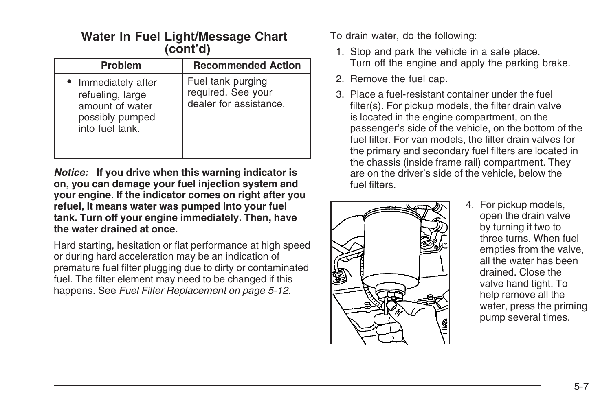#### **Water In Fuel Light/Message Chart (cont'd)**

| <b>Problem</b>                                                                                   | <b>Recommended Action</b>                                         |
|--------------------------------------------------------------------------------------------------|-------------------------------------------------------------------|
| • Immediately after<br>refueling, large<br>amount of water<br>possibly pumped<br>into fuel tank. | Fuel tank purging<br>required. See your<br>dealer for assistance. |

*Notice:* **If you drive when this warning indicator is on, you can damage your fuel injection system and your engine. If the indicator comes on right after you refuel, it means water was pumped into your fuel tank. Turn off your engine immediately. Then, have the water drained at once.**

Hard starting, hesitation or flat performance at high speed or during hard acceleration may be an indication of premature fuel filter plugging due to dirty or contaminated fuel. The filter element may need to be changed if this happens. See *[Fuel Filter Replacement](#page-35-0) on page 5-12*.

To drain water, do the following:

- 1. Stop and park the vehicle in a safe place. Turn off the engine and apply the parking brake.
- 2. Remove the fuel cap.
- 3. Place a fuel-resistant container under the fuel filter(s). For pickup models, the filter drain valve is located in the engine compartment, on the passenger's side of the vehicle, on the bottom of the fuel filter. For van models, the filter drain valves for the primary and secondary fuel filters are located in the chassis (inside frame rail) compartment. They are on the driver's side of the vehicle, below the fuel filters.



4. For pickup models, open the drain valve by turning it two to three turns. When fuel empties from the valve, all the water has been drained. Close the valve hand tight. To help remove all the water, press the priming pump several times.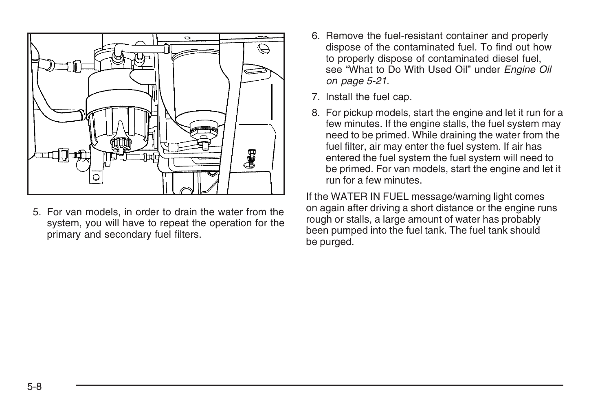

5. For van models, in order to drain the water from the system, you will have to repeat the operation for the primary and secondary fuel filters.

- 6. Remove the fuel-resistant container and properly dispose of the contaminated fuel. To find out how to properly dispose of contaminated diesel fuel, see "What to Do With Used Oil" under *[Engine Oil](#page-44-0) on page 5-21*.
- 7. Install the fuel cap.
- 8. For pickup models, start the engine and let it run for a few minutes. If the engine stalls, the fuel system may need to be primed. While draining the water from the fuel filter, air may enter the fuel system. If air has entered the fuel system the fuel system will need to be primed. For van models, start the engine and let it run for a few minutes.

If the WATER IN FUEL message/warning light comes on again after driving a short distance or the engine runs rough or stalls, a large amount of water has probably been pumped into the fuel tank. The fuel tank should be purged.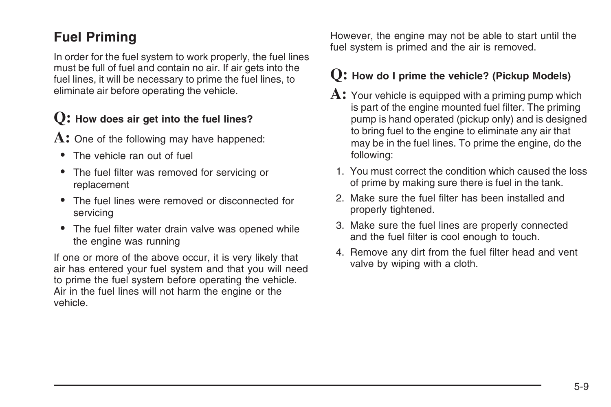## **Fuel Priming**

In order for the fuel system to work properly, the fuel lines must be full of fuel and contain no air. If air gets into the fuel lines, it will be necessary to prime the fuel lines, to eliminate air before operating the vehicle.

### **Q: How does air get into the fuel lines?**

A: One of the following may have happened:

- The vehicle ran out of fuel
- The fuel filter was removed for servicing or replacement
- The fuel lines were removed or disconnected for servicing
- The fuel filter water drain valve was opened while the engine was running

If one or more of the above occur, it is very likely that air has entered your fuel system and that you will need to prime the fuel system before operating the vehicle. Air in the fuel lines will not harm the engine or the vehicle.

However, the engine may not be able to start until the fuel system is primed and the air is removed.

#### **Q: How do I prime the vehicle? (Pickup Models)**

- **A:** Your vehicle is equipped with a priming pump which is part of the engine mounted fuel filter. The priming pump is hand operated (pickup only) and is designed to bring fuel to the engine to eliminate any air that may be in the fuel lines. To prime the engine, do the following:
- 1. You must correct the condition which caused the loss of prime by making sure there is fuel in the tank.
- 2. Make sure the fuel filter has been installed and properly tightened.
- 3. Make sure the fuel lines are properly connected and the fuel filter is cool enough to touch.
- 4. Remove any dirt from the fuel filter head and vent valve by wiping with a cloth.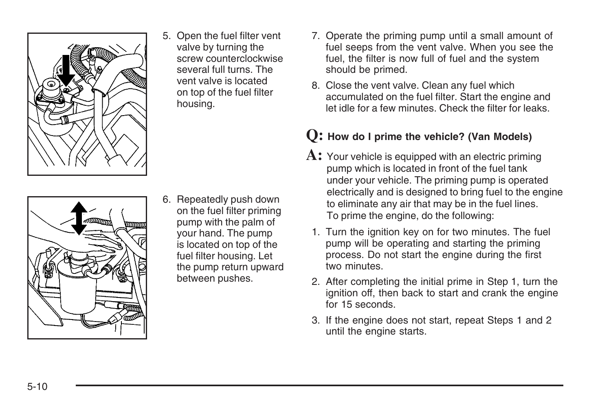

5. Open the fuel filter vent valve by turning the screw counterclockwise several full turns. The vent valve is located on top of the fuel filter housing.

- uman
- 6. Repeatedly push down on the fuel filter priming pump with the palm of your hand. The pump is located on top of the fuel filter housing. Let the pump return upward between pushes.
- 7. Operate the priming pump until a small amount of fuel seeps from the vent valve. When you see the fuel, the filter is now full of fuel and the system should be primed.
- 8. Close the vent valve. Clean any fuel which accumulated on the fuel filter. Start the engine and let idle for a few minutes. Check the filter for leaks.

#### **Q: How do I prime the vehicle? (Van Models)**

- **A:** Your vehicle is equipped with an electric priming pump which is located in front of the fuel tank under your vehicle. The priming pump is operated electrically and is designed to bring fuel to the engine to eliminate any air that may be in the fuel lines. To prime the engine, do the following:
- 1. Turn the ignition key on for two minutes. The fuel pump will be operating and starting the priming process. Do not start the engine during the first two minutes.
- 2. After completing the initial prime in Step 1, turn the ignition off, then back to start and crank the engine for 15 seconds
- 3. If the engine does not start, repeat Steps 1 and 2 until the engine starts.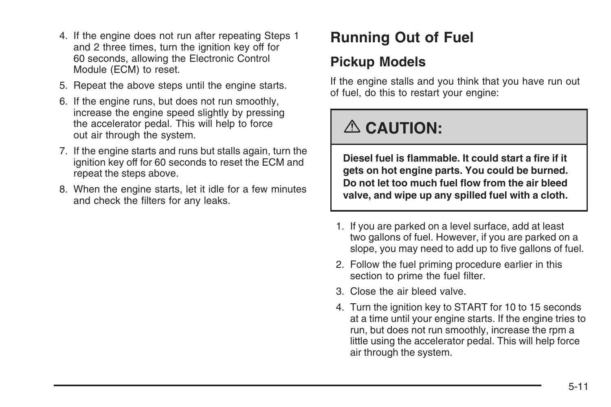- <span id="page-34-0"></span>4. If the engine does not run after repeating Steps 1 and 2 three times, turn the ignition key off for 60 seconds, allowing the Electronic Control Module (ECM) to reset.
- 5. Repeat the above steps until the engine starts.
- 6. If the engine runs, but does not run smoothly, increase the engine speed slightly by pressing the accelerator pedal. This will help to force out air through the system.
- 7. If the engine starts and runs but stalls again, turn the ignition key off for 60 seconds to reset the ECM and repeat the steps above.
- 8. When the engine starts, let it idle for a few minutes and check the filters for any leaks.

# **Running Out of Fuel**

### **Pickup Models**

If the engine stalls and you think that you have run out of fuel, do this to restart your engine:

# {**CAUTION:**

**Diesel fuel is flammable. It could start a fire if it gets on hot engine parts. You could be burned. Do not let too much fuel flow from the air bleed valve, and wipe up any spilled fuel with a cloth.**

- 1. If you are parked on a level surface, add at least two gallons of fuel. However, if you are parked on a slope, you may need to add up to five gallons of fuel.
- 2. Follow the fuel priming procedure earlier in this section to prime the fuel filter.
- 3. Close the air bleed valve.
- 4. Turn the ignition key to START for 10 to 15 seconds at a time until your engine starts. If the engine tries to run, but does not run smoothly, increase the rpm a little using the accelerator pedal. This will help force air through the system.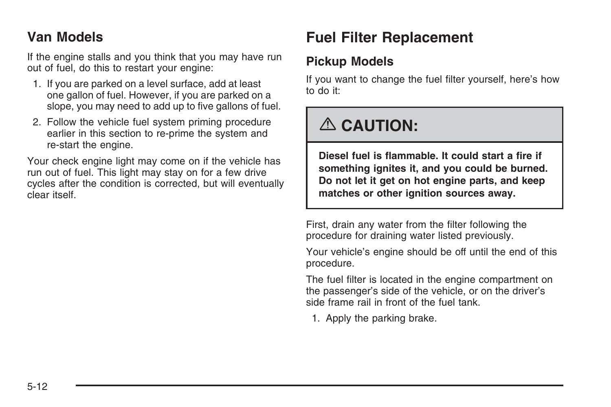### <span id="page-35-0"></span>**Van Models**

If the engine stalls and you think that you may have run out of fuel, do this to restart your engine:

- 1. If you are parked on a level surface, add at least one gallon of fuel. However, if you are parked on a slope, you may need to add up to five gallons of fuel.
- 2. Follow the vehicle fuel system priming procedure earlier in this section to re-prime the system and re-start the engine.

Your check engine light may come on if the vehicle has run out of fuel. This light may stay on for a few drive cycles after the condition is corrected, but will eventually clear itself.

# **Fuel Filter Replacement**

#### **Pickup Models**

If you want to change the fuel filter yourself, here's how to do it:

# {**CAUTION:**

**Diesel fuel is flammable. It could start a fire if something ignites it, and you could be burned. Do not let it get on hot engine parts, and keep matches or other ignition sources away.**

First, drain any water from the filter following the procedure for draining water listed previously.

Your vehicle's engine should be off until the end of this procedure.

The fuel filter is located in the engine compartment on the passenger's side of the vehicle, or on the driver's side frame rail in front of the fuel tank.

1. Apply the parking brake.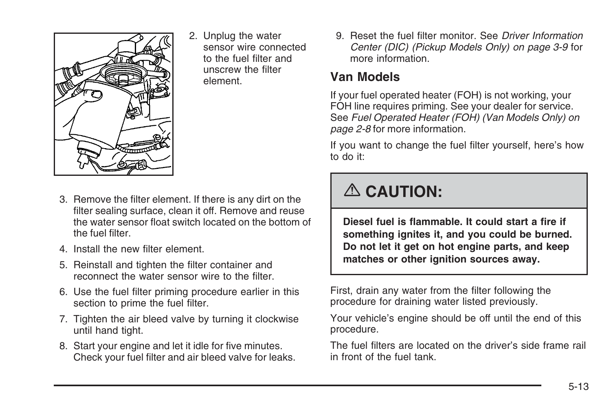

2. Unplug the water sensor wire connected to the fuel filter and unscrew the filter element.

- 3. Remove the filter element. If there is any dirt on the filter sealing surface, clean it off. Remove and reuse the water sensor float switch located on the bottom of the fuel filter.
- 4. Install the new filter element.
- 5. Reinstall and tighten the filter container and reconnect the water sensor wire to the filter.
- 6. Use the fuel filter priming procedure earlier in this section to prime the fuel filter.
- 7. Tighten the air bleed valve by turning it clockwise until hand tight.
- 8. Start your engine and let it idle for five minutes. Check your fuel filter and air bleed valve for leaks.

9. Reset the fuel filter monitor. See *[Driver Information](#page-20-0) [Center \(DIC\) \(Pickup Models Only\)](#page-20-0) on page 3-9* for more information.

#### **Van Models**

If your fuel operated heater (FOH) is not working, your FOH line requires priming. See your dealer for service. See *[Fuel Operated Heater \(FOH\) \(Van Models Only\)](#page-9-0) on page 2-8* for more information.

If you want to change the fuel filter yourself, here's how to do it:

# {**CAUTION:**

**Diesel fuel is flammable. It could start a fire if something ignites it, and you could be burned. Do not let it get on hot engine parts, and keep matches or other ignition sources away.**

First, drain any water from the filter following the procedure for draining water listed previously.

Your vehicle's engine should be off until the end of this procedure.

The fuel filters are located on the driver's side frame rail in front of the fuel tank.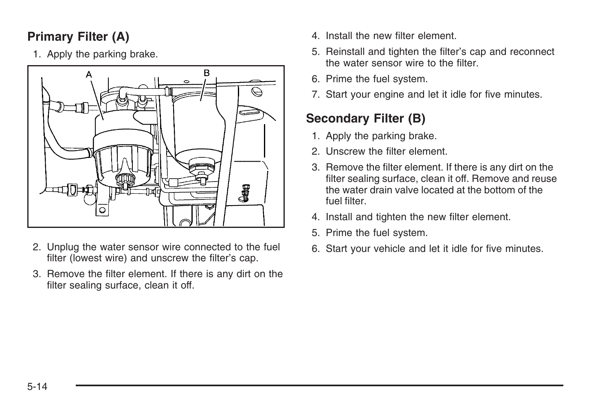## **Primary Filter (A)**

1. Apply the parking brake.



- 2. Unplug the water sensor wire connected to the fuel filter (lowest wire) and unscrew the filter's cap.
- 3. Remove the filter element. If there is any dirt on the filter sealing surface, clean it off.
- 4. Install the new filter element.
- 5. Reinstall and tighten the filter's cap and reconnect the water sensor wire to the filter.
- 6. Prime the fuel system.
- 7. Start your engine and let it idle for five minutes.

## **Secondary Filter (B)**

- 1. Apply the parking brake.
- 2. Unscrew the filter element.
- 3. Remove the filter element. If there is any dirt on the filter sealing surface, clean it off. Remove and reuse the water drain valve located at the bottom of the fuel filter.
- 4. Install and tighten the new filter element.
- 5. Prime the fuel system.
- 6. Start your vehicle and let it idle for five minutes.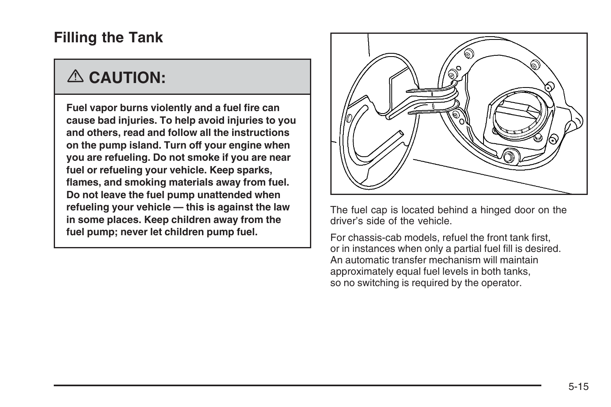## **Filling the Tank**

# {**CAUTION:**

**Fuel vapor burns violently and a fuel fire can cause bad injuries. To help avoid injuries to you and others, read and follow all the instructions on the pump island. Turn off your engine when you are refueling. Do not smoke if you are near fuel or refueling your vehicle. Keep sparks, flames, and smoking materials away from fuel. Do not leave the fuel pump unattended when refueling your vehicle — this is against the law in some places. Keep children away from the fuel pump; never let children pump fuel.**



The fuel cap is located behind a hinged door on the driver's side of the vehicle.

For chassis-cab models, refuel the front tank first, or in instances when only a partial fuel fill is desired. An automatic transfer mechanism will maintain approximately equal fuel levels in both tanks, so no switching is required by the operator.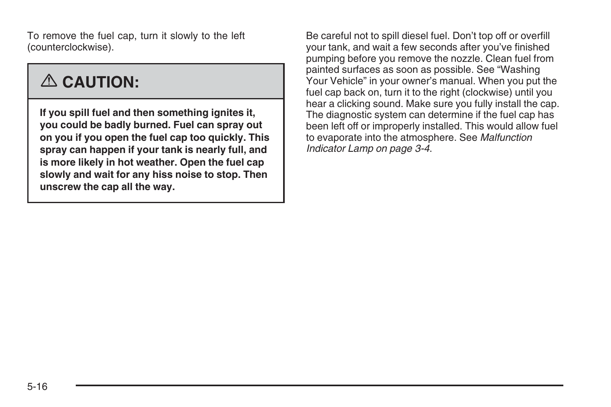To remove the fuel cap, turn it slowly to the left (counterclockwise).

# {**CAUTION:**

**If you spill fuel and then something ignites it, you could be badly burned. Fuel can spray out on you if you open the fuel cap too quickly. This spray can happen if your tank is nearly full, and is more likely in hot weather. Open the fuel cap slowly and wait for any hiss noise to stop. Then unscrew the cap all the way.**

Be careful not to spill diesel fuel. Don't top off or overfill your tank, and wait a few seconds after you've finished pumping before you remove the nozzle. Clean fuel from painted surfaces as soon as possible. See "Washing Your Vehicle" in your owner's manual. When you put the fuel cap back on, turn it to the right (clockwise) until you hear a clicking sound. Make sure you fully install the cap. The diagnostic system can determine if the fuel cap has been left off or improperly installed. This would allow fuel to evaporate into the atmosphere. See *[Malfunction](#page-15-0) [Indicator Lamp](#page-15-0) on page 3-4*.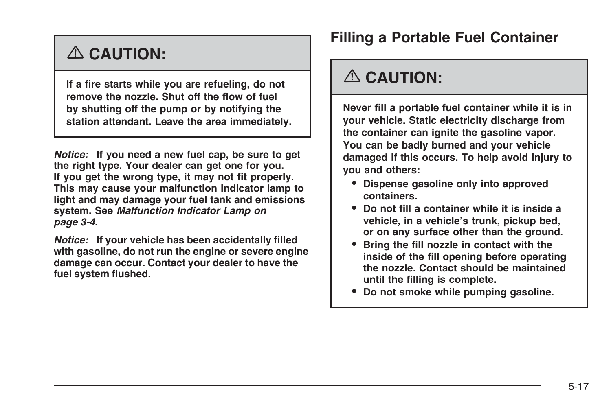# {**CAUTION:**

**If a fire starts while you are refueling, do not remove the nozzle. Shut off the flow of fuel by shutting off the pump or by notifying the station attendant. Leave the area immediately.**

*Notice:* **If you need a new fuel cap, be sure to get the right type. Your dealer can get one for you. If you get the wrong type, it may not fit properly. This may cause your malfunction indicator lamp to light and may damage your fuel tank and emissions system. See** *[Malfunction Indicator Lamp](#page-15-0) on page 3-4***.**

*Notice:* **If your vehicle has been accidentally filled with gasoline, do not run the engine or severe engine damage can occur. Contact your dealer to have the fuel system flushed.**

## **Filling a Portable Fuel Container**

## {**CAUTION:**

**Never fill a portable fuel container while it is in your vehicle. Static electricity discharge from the container can ignite the gasoline vapor. You can be badly burned and your vehicle damaged if this occurs. To help avoid injury to you and others:**

- **• Dispense gasoline only into approved containers.**
- **• Do not fill a container while it is inside a vehicle, in a vehicle's trunk, pickup bed, or on any surface other than the ground.**
- **• Bring the fill nozzle in contact with the inside of the fill opening before operating the nozzle. Contact should be maintained until the filling is complete.**
- **• Do not smoke while pumping gasoline.**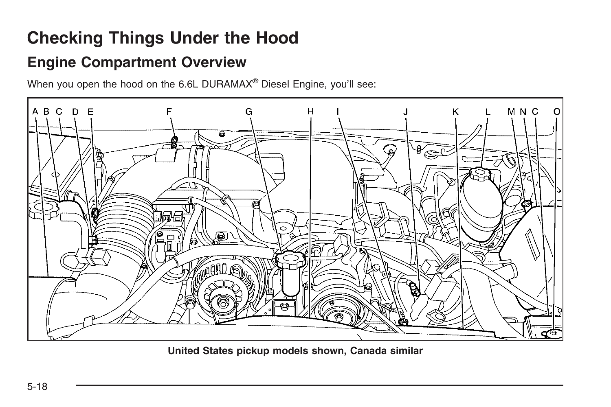# <span id="page-41-0"></span>**Checking Things Under the Hood**

## **Engine Compartment Overview**

When you open the hood on the 6.6L DURAMAX<sup>®</sup> Diesel Engine, you'll see:



**United States pickup models shown, Canada similar**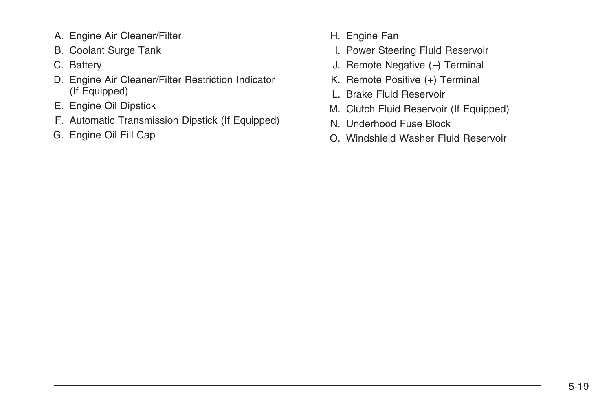- A. Engine Air Cleaner/Filter
- B. Coolant Surge Tank
- C. Battery
- D. Engine Air Cleaner/Filter Restriction Indicator (If Equipped)
- E. Engine Oil Dipstick
- F. Automatic Transmission Dipstick (If Equipped)
- G. Engine Oil Fill Cap
- H. Engine Fan
- I. Power Steering Fluid Reservoir
- J. Remote Negative (−) Terminal
- K. Remote Positive (+) Terminal
- L. Brake Fluid Reservoir
- M. Clutch Fluid Reservoir (If Equipped)
- N. Underhood Fuse Block
- O. Windshield Washer Fluid Reservoir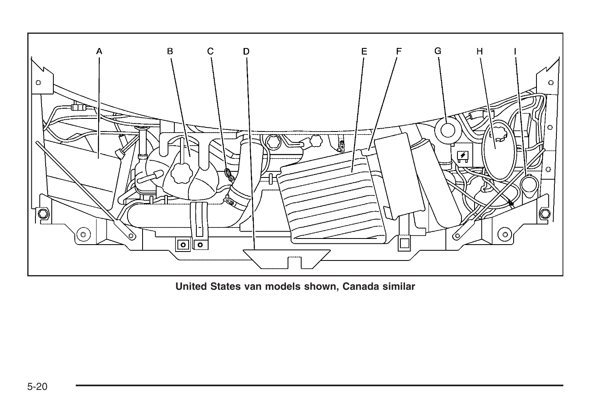

**United States van models shown, Canada similar**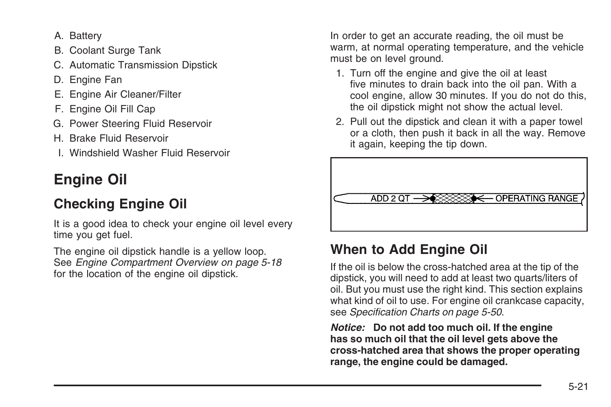- A. Battery
- B. Coolant Surge Tank
- C. Automatic Transmission Dipstick
- D. Engine Fan
- E. Engine Air Cleaner/Filter
- F. Engine Oil Fill Cap
- G. Power Steering Fluid Reservoir
- H. Brake Fluid Reservoir
- I. Windshield Washer Fluid Reservoir

# **Engine Oil**

## **Checking Engine Oil**

It is a good idea to check your engine oil level every time you get fuel.

The engine oil dipstick handle is a yellow loop. See *[Engine Compartment Overview](#page-41-0) on page 5-18* for the location of the engine oil dipstick.

In order to get an accurate reading, the oil must be warm, at normal operating temperature, and the vehicle must be on level ground.

- 1. Turn off the engine and give the oil at least five minutes to drain back into the oil pan. With a cool engine, allow 30 minutes. If you do not do this, the oil dipstick might not show the actual level.
- 2. Pull out the dipstick and clean it with a paper towel or a cloth, then push it back in all the way. Remove it again, keeping the tip down.



## **When to Add Engine Oil**

If the oil is below the cross-hatched area at the tip of the dipstick, you will need to add at least two quarts/liters of oil. But you must use the right kind. This section explains what kind of oil to use. For engine oil crankcase capacity, see *[Specification Charts](#page-73-0) on page 5-50*.

*Notice:* **Do not add too much oil. If the engine has so much oil that the oil level gets above the cross-hatched area that shows the proper operating range, the engine could be damaged.**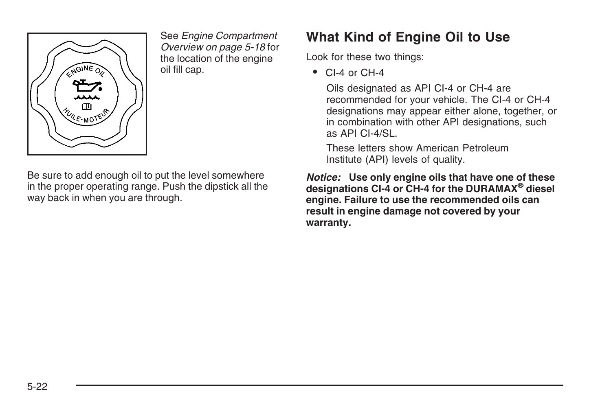

See *[Engine Compartment](#page-41-0) [Overview](#page-41-0) on page 5-18* for the location of the engine oil fill cap.

Be sure to add enough oil to put the level somewhere in the proper operating range. Push the dipstick all the way back in when you are through.

## **What Kind of Engine Oil to Use**

Look for these two things:

• CI-4 or CH-4

Oils designated as API CI-4 or CH-4 are recommended for your vehicle. The CI-4 or CH-4 designations may appear either alone, together, or in combination with other API designations, such as API CI-4/SL.

These letters show American Petroleum Institute (API) levels of quality.

*Notice:* **Use only engine oils that have one of these designations CI-4 or CH-4 for the DURAMAX® diesel engine. Failure to use the recommended oils can result in engine damage not covered by your warranty.**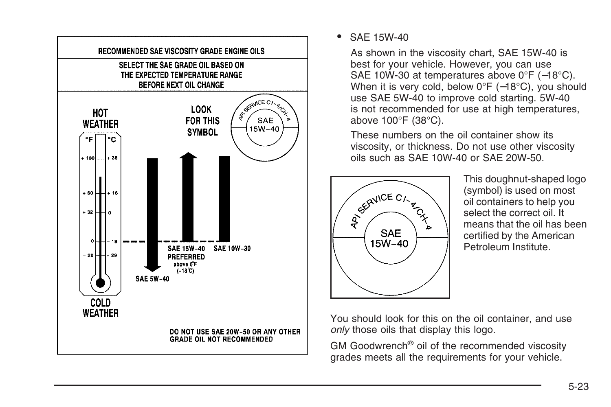

• SAE 15W-40

As shown in the viscosity chart, SAE 15W-40 is best for your vehicle. However, you can use SAE 10W-30 at temperatures above 0°F (−18°C). When it is very cold, below 0°F (-18°C), you should use SAE 5W-40 to improve cold starting. 5W-40 is not recommended for use at high temperatures, above 100°F (38°C).

These numbers on the oil container show its viscosity, or thickness. Do not use other viscosity oils such as SAE 10W-40 or SAE 20W-50.



This doughnut-shaped logo (symbol) is used on most oil containers to help you select the correct oil. It means that the oil has been certified by the American Petroleum Institute.

You should look for this on the oil container, and use *only* those oils that display this logo.

GM Goodwrench® oil of the recommended viscosity grades meets all the requirements for your vehicle.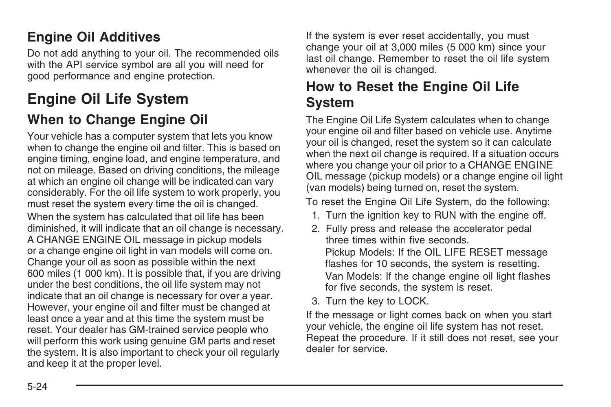## **Engine Oil Additives**

Do not add anything to your oil. The recommended oils with the API service symbol are all you will need for good performance and engine protection.

## **Engine Oil Life System**

## **When to Change Engine Oil**

Your vehicle has a computer system that lets you know when to change the engine oil and filter. This is based on engine timing, engine load, and engine temperature, and not on mileage. Based on driving conditions, the mileage at which an engine oil change will be indicated can vary considerably. For the oil life system to work properly, you must reset the system every time the oil is changed. When the system has calculated that oil life has been diminished, it will indicate that an oil change is necessary. A CHANGE ENGINE OIL message in pickup models or a change engine oil light in van models will come on. Change your oil as soon as possible within the next 600 miles (1 000 km). It is possible that, if you are driving under the best conditions, the oil life system may not indicate that an oil change is necessary for over a year. However, your engine oil and filter must be changed at least once a year and at this time the system must be reset. Your dealer has GM-trained service people who will perform this work using genuine GM parts and reset the system. It is also important to check your oil regularly and keep it at the proper level.

If the system is ever reset accidentally, you must change your oil at 3,000 miles (5 000 km) since your last oil change. Remember to reset the oil life system whenever the oil is changed.

### **How to Reset the Engine Oil Life System**

The Engine Oil Life System calculates when to change your engine oil and filter based on vehicle use. Anytime your oil is changed, reset the system so it can calculate when the next oil change is required. If a situation occurs where you change your oil prior to a CHANGE ENGINE OIL message (pickup models) or a change engine oil light (van models) being turned on, reset the system.

To reset the Engine Oil Life System, do the following:

- 1. Turn the ignition key to RUN with the engine off.
- 2. Fully press and release the accelerator pedal three times within five seconds. Pickup Models: If the OIL LIFE RESET message flashes for 10 seconds, the system is resetting. Van Models: If the change engine oil light flashes for five seconds, the system is reset.
- 3. Turn the key to LOCK.

If the message or light comes back on when you start your vehicle, the engine oil life system has not reset. Repeat the procedure. If it still does not reset, see your dealer for service.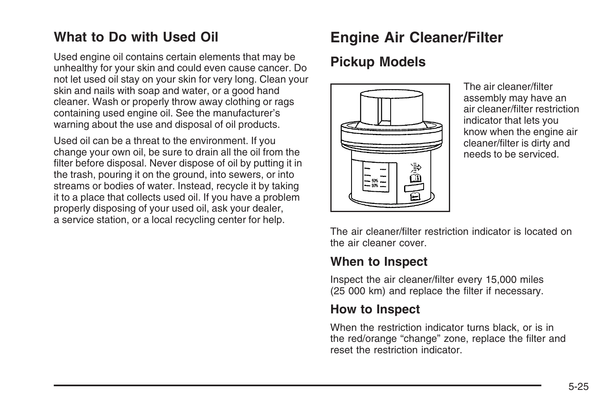## **What to Do with Used Oil**

Used engine oil contains certain elements that may be unhealthy for your skin and could even cause cancer. Do not let used oil stay on your skin for very long. Clean your skin and nails with soap and water, or a good hand cleaner. Wash or properly throw away clothing or rags containing used engine oil. See the manufacturer's warning about the use and disposal of oil products.

Used oil can be a threat to the environment. If you change your own oil, be sure to drain all the oil from the filter before disposal. Never dispose of oil by putting it in the trash, pouring it on the ground, into sewers, or into streams or bodies of water. Instead, recycle it by taking it to a place that collects used oil. If you have a problem properly disposing of your used oil, ask your dealer, a service station, or a local recycling center for help.

## **Engine Air Cleaner/Filter**

#### **Pickup Models**



The air cleaner/filter assembly may have an air cleaner/filter restriction indicator that lets you know when the engine air cleaner/filter is dirty and needs to be serviced.

The air cleaner/filter restriction indicator is located on the air cleaner cover.

#### **When to Inspect**

Inspect the air cleaner/filter every 15,000 miles (25 000 km) and replace the filter if necessary.

#### **How to Inspect**

When the restriction indicator turns black, or is in the red/orange "change" zone, replace the filter and reset the restriction indicator.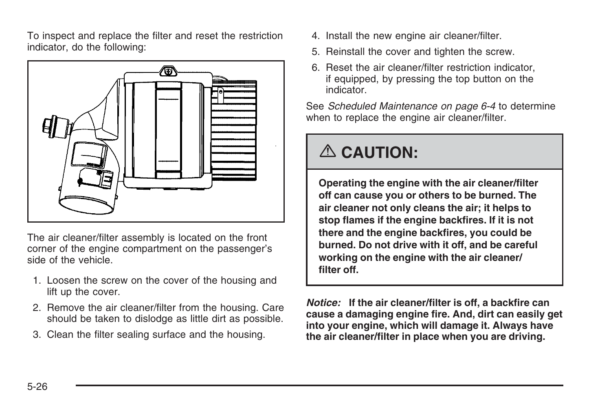To inspect and replace the filter and reset the restriction indicator, do the following:



The air cleaner/filter assembly is located on the front corner of the engine compartment on the passenger's side of the vehicle.

- 1. Loosen the screw on the cover of the housing and lift up the cover.
- 2. Remove the air cleaner/filter from the housing. Care should be taken to dislodge as little dirt as possible.
- 3. Clean the filter sealing surface and the housing.
- 4. Install the new engine air cleaner/filter.
- 5. Reinstall the cover and tighten the screw.
- 6. Reset the air cleaner/filter restriction indicator, if equipped, by pressing the top button on the indicator.

See *[Scheduled Maintenance](#page-77-0) on page 6-4* to determine when to replace the engine air cleaner/filter.

# {**CAUTION:**

**Operating the engine with the air cleaner/filter off can cause you or others to be burned. The air cleaner not only cleans the air; it helps to stop flames if the engine backfires. If it is not there and the engine backfires, you could be burned. Do not drive with it off, and be careful working on the engine with the air cleaner/ filter off.**

*Notice:* **If the air cleaner/filter is off, a backfire can cause a damaging engine fire. And, dirt can easily get into your engine, which will damage it. Always have the air cleaner/filter in place when you are driving.**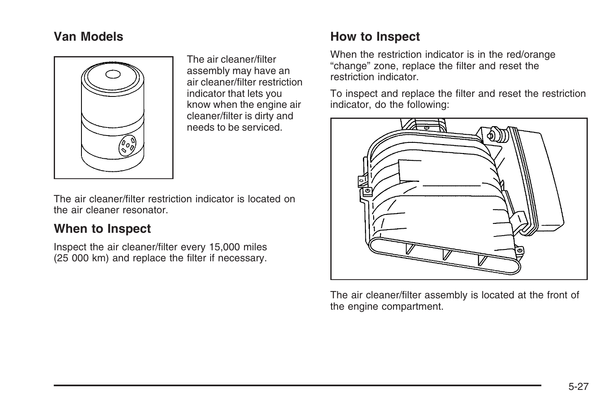#### **Van Models**



The air cleaner/filter assembly may have an air cleaner/filter restriction indicator that lets you know when the engine air cleaner/filter is dirty and needs to be serviced.

The air cleaner/filter restriction indicator is located on the air cleaner resonator.

#### **When to Inspect**

Inspect the air cleaner/filter every 15,000 miles (25 000 km) and replace the filter if necessary.

## **How to Inspect**

When the restriction indicator is in the red/orange "change" zone, replace the filter and reset the restriction indicator.

To inspect and replace the filter and reset the restriction indicator, do the following:



The air cleaner/filter assembly is located at the front of the engine compartment.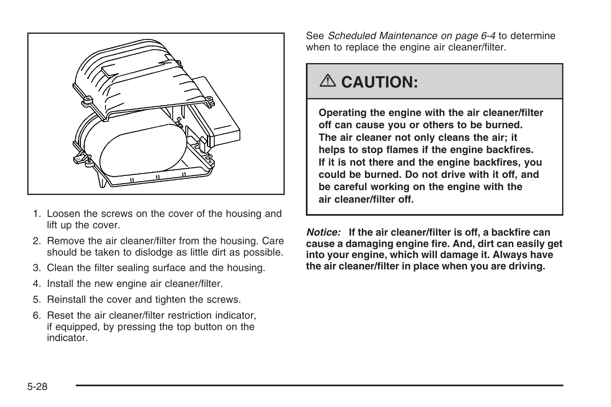

- 1. Loosen the screws on the cover of the housing and lift up the cover.
- 2. Remove the air cleaner/filter from the housing. Care should be taken to dislodge as little dirt as possible.
- 3. Clean the filter sealing surface and the housing.
- 4. Install the new engine air cleaner/filter.
- 5. Reinstall the cover and tighten the screws.
- 6. Reset the air cleaner/filter restriction indicator, if equipped, by pressing the top button on the indicator.

See *[Scheduled Maintenance](#page-77-0) on page 6-4* to determine when to replace the engine air cleaner/filter.

## {**CAUTION:**

**Operating the engine with the air cleaner/filter off can cause you or others to be burned. The air cleaner not only cleans the air; it helps to stop flames if the engine backfires. If it is not there and the engine backfires, you could be burned. Do not drive with it off, and be careful working on the engine with the air cleaner/filter off.**

*Notice:* **If the air cleaner/filter is off, a backfire can cause a damaging engine fire. And, dirt can easily get into your engine, which will damage it. Always have the air cleaner/filter in place when you are driving.**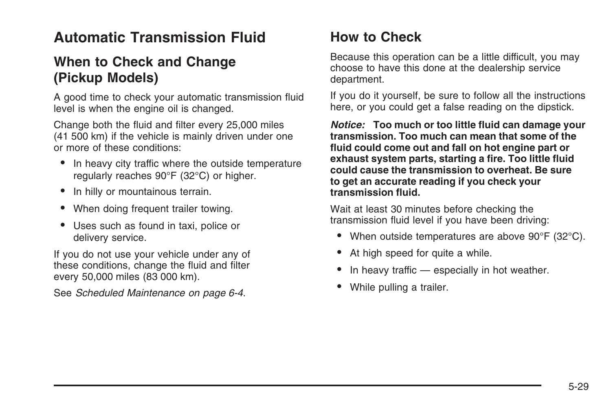## **Automatic Transmission Fluid**

## **When to Check and Change (Pickup Models)**

A good time to check your automatic transmission fluid level is when the engine oil is changed.

Change both the fluid and filter every 25,000 miles (41 500 km) if the vehicle is mainly driven under one or more of these conditions:

- In heavy city traffic where the outside temperature regularly reaches 90°F (32°C) or higher.
- In hilly or mountainous terrain.
- When doing frequent trailer towing.
- Uses such as found in taxi, police or delivery service.

If you do not use your vehicle under any of these conditions, change the fluid and filter every 50,000 miles (83 000 km).

See *[Scheduled Maintenance](#page-77-0) on page 6-4*.

## **How to Check**

Because this operation can be a little difficult, you may choose to have this done at the dealership service department.

If you do it yourself, be sure to follow all the instructions here, or you could get a false reading on the dipstick.

*Notice:* **Too much or too little fluid can damage your transmission. Too much can mean that some of the fluid could come out and fall on hot engine part or exhaust system parts, starting a fire. Too little fluid could cause the transmission to overheat. Be sure to get an accurate reading if you check your transmission fluid.**

Wait at least 30 minutes before checking the transmission fluid level if you have been driving:

- When outside temperatures are above 90°F (32°C).
- At high speed for quite a while.
- In heavy traffic especially in hot weather.
- While pulling a trailer.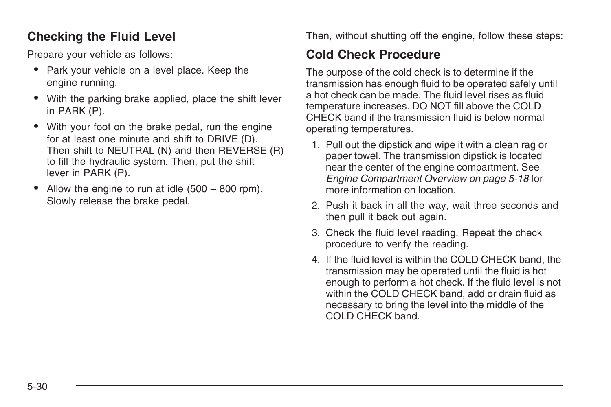#### **Checking the Fluid Level**

Prepare your vehicle as follows:

- Park your vehicle on a level place. Keep the engine running.
- With the parking brake applied, place the shift lever in PARK (P).
- With your foot on the brake pedal, run the engine for at least one minute and shift to DRIVE (D). Then shift to NEUTRAL (N) and then REVERSE (R) to fill the hydraulic system. Then, put the shift lever in PARK (P).
- Allow the engine to run at idle  $(500 800$  rpm). Slowly release the brake pedal.

Then, without shutting off the engine, follow these steps:

### **Cold Check Procedure**

The purpose of the cold check is to determine if the transmission has enough fluid to be operated safely until a hot check can be made. The fluid level rises as fluid temperature increases. DO NOT fill above the COLD CHECK band if the transmission fluid is below normal operating temperatures.

- 1. Pull out the dipstick and wipe it with a clean rag or paper towel. The transmission dipstick is located near the center of the engine compartment. See *[Engine Compartment Overview](#page-41-0) on page 5-18* for more information on location.
- 2. Push it back in all the way, wait three seconds and then pull it back out again.
- 3. Check the fluid level reading. Repeat the check procedure to verify the reading.
- 4. If the fluid level is within the COLD CHECK band, the transmission may be operated until the fluid is hot enough to perform a hot check. If the fluid level is not within the COLD CHECK band, add or drain fluid as necessary to bring the level into the middle of the COLD CHECK band.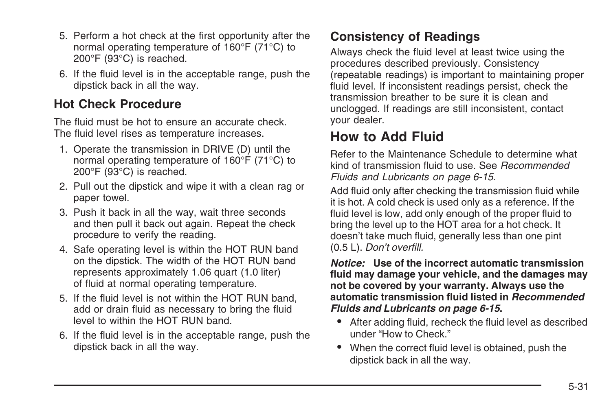- 5. Perform a hot check at the first opportunity after the normal operating temperature of 160°F (71°C) to 200°F (93°C) is reached.
- 6. If the fluid level is in the acceptable range, push the dipstick back in all the way.

#### **Hot Check Procedure**

The fluid must be hot to ensure an accurate check. The fluid level rises as temperature increases.

- 1. Operate the transmission in DRIVE (D) until the normal operating temperature of 160°F (71°C) to 200°F (93°C) is reached.
- 2. Pull out the dipstick and wipe it with a clean rag or paper towel.
- 3. Push it back in all the way, wait three seconds and then pull it back out again. Repeat the check procedure to verify the reading.
- 4. Safe operating level is within the HOT RUN band on the dipstick. The width of the HOT RUN band represents approximately 1.06 quart (1.0 liter) of fluid at normal operating temperature.
- 5. If the fluid level is not within the HOT RUN band, add or drain fluid as necessary to bring the fluid level to within the HOT RUN band.
- 6. If the fluid level is in the acceptable range, push the dipstick back in all the way.

### **Consistency of Readings**

Always check the fluid level at least twice using the procedures described previously. Consistency (repeatable readings) is important to maintaining proper fluid level. If inconsistent readings persist, check the transmission breather to be sure it is clean and unclogged. If readings are still inconsistent, contact your dealer.

## **How to Add Fluid**

Refer to the Maintenance Schedule to determine what kind of transmission fluid to use. See *[Recommended](#page-88-0) [Fluids and Lubricants](#page-88-0) on page 6-15*.

Add fluid only after checking the transmission fluid while it is hot. A cold check is used only as a reference. If the fluid level is low, add only enough of the proper fluid to bring the level up to the HOT area for a hot check. It doesn't take much fluid, generally less than one pint (0.5 L). *Don't overfill.*

*Notice:* **Use of the incorrect automatic transmission fluid may damage your vehicle, and the damages may not be covered by your warranty. Always use the automatic transmission fluid listed in** *[Recommended](#page-88-0) [Fluids and Lubricants](#page-88-0) on page 6-15***.**

- After adding fluid, recheck the fluid level as described under "How to Check."
- When the correct fluid level is obtained, push the dipstick back in all the way.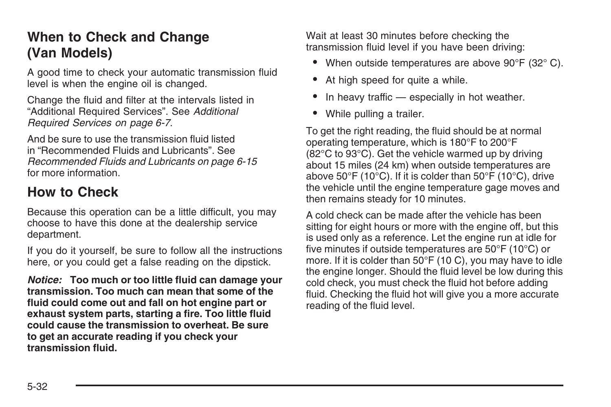## **When to Check and Change (Van Models)**

A good time to check your automatic transmission fluid level is when the engine oil is changed.

Change the fluid and filter at the intervals listed in "Additional Required Services". See *[Additional](#page-80-0) [Required Services](#page-80-0) on page 6-7*.

And be sure to use the transmission fluid listed in "Recommended Fluids and Lubricants". See *[Recommended Fluids and Lubricants](#page-88-0) on page 6-15* for more information.

## **How to Check**

Because this operation can be a little difficult, you may choose to have this done at the dealership service department.

If you do it yourself, be sure to follow all the instructions here, or you could get a false reading on the dipstick.

*Notice:* **Too much or too little fluid can damage your transmission. Too much can mean that some of the fluid could come out and fall on hot engine part or exhaust system parts, starting a fire. Too little fluid could cause the transmission to overheat. Be sure to get an accurate reading if you check your transmission fluid.**

Wait at least 30 minutes before checking the transmission fluid level if you have been driving:

- When outside temperatures are above 90°F (32°C).
- At high speed for quite a while.
- In heavy traffic especially in hot weather.
- While pulling a trailer.

To get the right reading, the fluid should be at normal operating temperature, which is 180°F to 200°F (82°C to 93°C). Get the vehicle warmed up by driving about 15 miles (24 km) when outside temperatures are above 50°F (10°C). If it is colder than 50°F (10°C), drive the vehicle until the engine temperature gage moves and then remains steady for 10 minutes.

A cold check can be made after the vehicle has been sitting for eight hours or more with the engine off, but this is used only as a reference. Let the engine run at idle for five minutes if outside temperatures are 50°F (10°C) or more. If it is colder than 50°F (10 C), you may have to idle the engine longer. Should the fluid level be low during this cold check, you must check the fluid hot before adding fluid. Checking the fluid hot will give you a more accurate reading of the fluid level.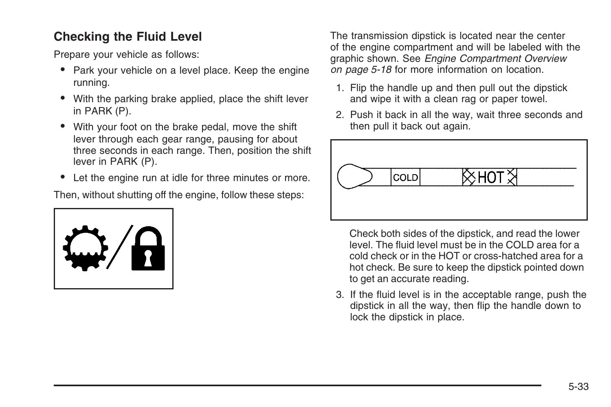#### **Checking the Fluid Level**

Prepare your vehicle as follows:

- Park your vehicle on a level place. Keep the engine running.
- With the parking brake applied, place the shift lever in PARK (P).
- With your foot on the brake pedal, move the shift lever through each gear range, pausing for about three seconds in each range. Then, position the shift lever in PARK (P).
- Let the engine run at idle for three minutes or more.

Then, without shutting off the engine, follow these steps:



The transmission dipstick is located near the center of the engine compartment and will be labeled with the graphic shown. See *[Engine Compartment Overview](#page-41-0) on page 5-18* for more information on location.

- 1. Flip the handle up and then pull out the dipstick and wipe it with a clean rag or paper towel.
- 2. Push it back in all the way, wait three seconds and then pull it back out again.



Check both sides of the dipstick, and read the lower level. The fluid level must be in the COLD area for a cold check or in the HOT or cross-hatched area for a hot check. Be sure to keep the dipstick pointed down to get an accurate reading.

3. If the fluid level is in the acceptable range, push the dipstick in all the way, then flip the handle down to lock the dipstick in place.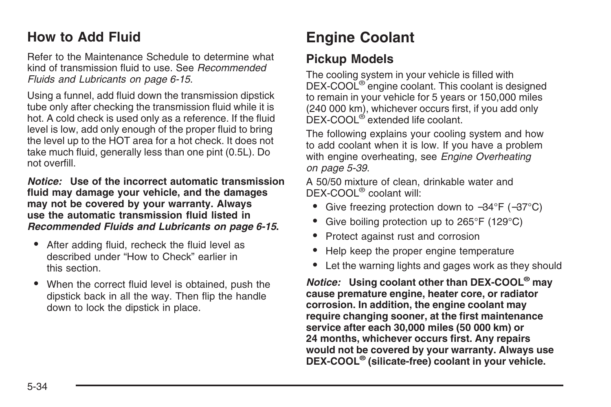## <span id="page-57-0"></span>**How to Add Fluid**

Refer to the Maintenance Schedule to determine what kind of transmission fluid to use. See *[Recommended](#page-88-0) [Fluids and Lubricants](#page-88-0) on page 6-15*.

Using a funnel, add fluid down the transmission dipstick tube only after checking the transmission fluid while it is hot. A cold check is used only as a reference. If the fluid level is low, add only enough of the proper fluid to bring the level up to the HOT area for a hot check. It does not take much fluid, generally less than one pint (0.5L). Do not overfill.

*Notice:* **Use of the incorrect automatic transmission fluid may damage your vehicle, and the damages may not be covered by your warranty. Always use the automatic transmission fluid listed in** *[Recommended Fluids and Lubricants](#page-88-0) on page 6-15***.**

- After adding fluid, recheck the fluid level as described under "How to Check" earlier in this section.
- When the correct fluid level is obtained, push the dipstick back in all the way. Then flip the handle down to lock the dipstick in place.

## **Engine Coolant**

#### **Pickup Models**

The cooling system in your vehicle is filled with DEX-COOL® engine coolant. This coolant is designed to remain in your vehicle for 5 years or 150,000 miles (240 000 km), whichever occurs first, if you add only DEX-COOL® extended life coolant.

The following explains your cooling system and how to add coolant when it is low. If you have a problem with engine overheating, see *[Engine Overheating](#page-62-0) on page 5-39*.

A 50/50 mixture of clean, drinkable water and DEX-COOL® coolant will:

- Give freezing protection down to −34°F (−37°C)
- Give boiling protection up to 265°F (129°C)
- Protect against rust and corrosion
- Help keep the proper engine temperature
- Let the warning lights and gages work as they should

*Notice:* **Using coolant other than DEX-COOL® may cause premature engine, heater core, or radiator corrosion. In addition, the engine coolant may require changing sooner, at the first maintenance service after each 30,000 miles (50 000 km) or 24 months, whichever occurs first. Any repairs would not be covered by your warranty. Always use DEX-COOL® (silicate-free) coolant in your vehicle.**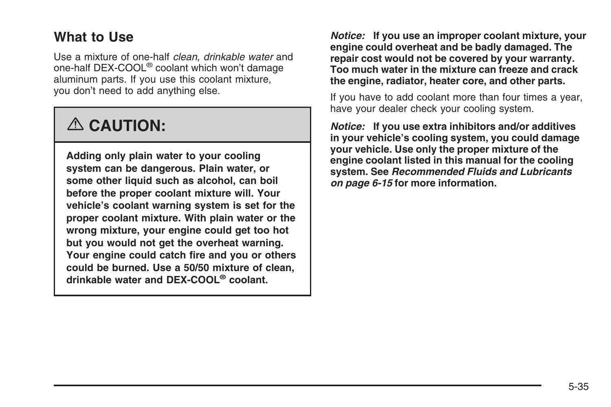## **What to Use**

Use a mixture of one-half *clean, drinkable water* and one-half DEX-COOL® coolant which won't damage aluminum parts. If you use this coolant mixture, you don't need to add anything else.

# {**CAUTION:**

**Adding only plain water to your cooling system can be dangerous. Plain water, or some other liquid such as alcohol, can boil before the proper coolant mixture will. Your vehicle's coolant warning system is set for the proper coolant mixture. With plain water or the wrong mixture, your engine could get too hot but you would not get the overheat warning. Your engine could catch fire and you or others could be burned. Use a 50/50 mixture of clean, drinkable water and DEX-COOL® coolant.**

*Notice:* **If you use an improper coolant mixture, your engine could overheat and be badly damaged. The repair cost would not be covered by your warranty. Too much water in the mixture can freeze and crack the engine, radiator, heater core, and other parts.**

If you have to add coolant more than four times a year, have your dealer check your cooling system.

*Notice:* **If you use extra inhibitors and/or additives in your vehicle's cooling system, you could damage your vehicle. Use only the proper mixture of the engine coolant listed in this manual for the cooling system. See** *[Recommended Fluids and Lubricants](#page-88-0) on page 6-15* **for more information.**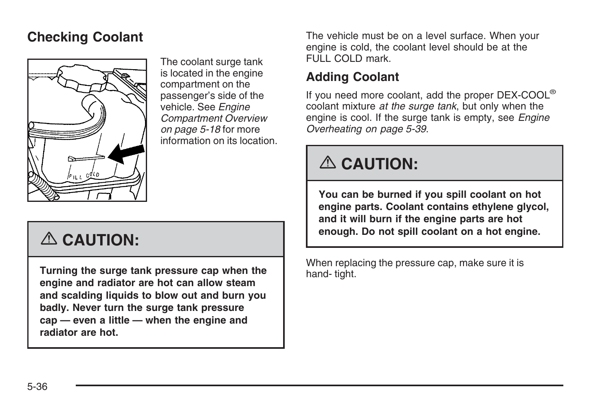## **Checking Coolant**



The coolant surge tank is located in the engine compartment on the passenger's side of the vehicle. See *[Engine](#page-41-0) [Compartment Overview](#page-41-0) on page 5-18* for more information on its location.

# {**CAUTION:**

**Turning the surge tank pressure cap when the engine and radiator are hot can allow steam and scalding liquids to blow out and burn you badly. Never turn the surge tank pressure cap — even a little — when the engine and radiator are hot.**

The vehicle must be on a level surface. When your engine is cold, the coolant level should be at the FULL COLD mark.

#### **Adding Coolant**

If you need more coolant, add the proper DEX-COOL® coolant mixture *at the surge tank*, but only when the engine is cool. If the surge tank is empty, see *[Engine](#page-62-0) [Overheating](#page-62-0) on page 5-39*.

# {**CAUTION:**

**You can be burned if you spill coolant on hot engine parts. Coolant contains ethylene glycol, and it will burn if the engine parts are hot enough. Do not spill coolant on a hot engine.**

When replacing the pressure cap, make sure it is hand- tight.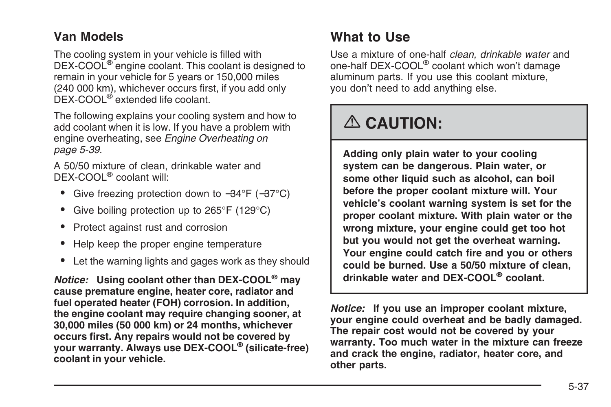#### **Van Models**

The cooling system in your vehicle is filled with DEX-COOL<sup>®</sup> engine coolant. This coolant is designed to remain in your vehicle for 5 years or 150,000 miles (240 000 km), whichever occurs first, if you add only DEX-COOL® extended life coolant.

The following explains your cooling system and how to add coolant when it is low. If you have a problem with engine overheating, see *[Engine Overheating](#page-62-0) on page 5-39*.

A 50/50 mixture of clean, drinkable water and DEX-COOL® coolant will:

- Give freezing protection down to −34°F (−37°C)
- Give boiling protection up to 265°F (129°C)
- Protect against rust and corrosion
- Help keep the proper engine temperature
- Let the warning lights and gages work as they should

*Notice:* **Using coolant other than DEX-COOL® may cause premature engine, heater core, radiator and fuel operated heater (FOH) corrosion. In addition, the engine coolant may require changing sooner, at 30,000 miles (50 000 km) or 24 months, whichever occurs first. Any repairs would not be covered by your warranty. Always use DEX-COOL® (silicate-free) coolant in your vehicle.**

## **What to Use**

Use a mixture of one-half *clean, drinkable water* and one-half DEX-COOL® coolant which won't damage aluminum parts. If you use this coolant mixture, you don't need to add anything else.

# {**CAUTION:**

**Adding only plain water to your cooling system can be dangerous. Plain water, or some other liquid such as alcohol, can boil before the proper coolant mixture will. Your vehicle's coolant warning system is set for the proper coolant mixture. With plain water or the wrong mixture, your engine could get too hot but you would not get the overheat warning. Your engine could catch fire and you or others could be burned. Use a 50/50 mixture of clean, drinkable water and DEX-COOL® coolant.**

*Notice:* **If you use an improper coolant mixture, your engine could overheat and be badly damaged. The repair cost would not be covered by your warranty. Too much water in the mixture can freeze and crack the engine, radiator, heater core, and other parts.**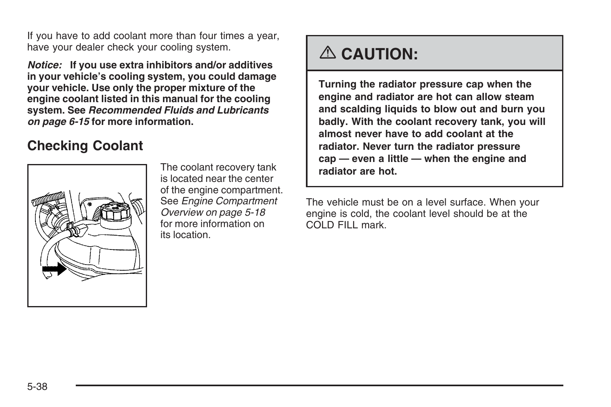If you have to add coolant more than four times a year, have your dealer check your cooling system.

*Notice:* **If you use extra inhibitors and/or additives in your vehicle's cooling system, you could damage your vehicle. Use only the proper mixture of the engine coolant listed in this manual for the cooling system. See** *[Recommended Fluids and Lubricants](#page-88-0) on page 6-15* **for more information.**

## **Checking Coolant**



The coolant recovery tank is located near the center of the engine compartment. See *[Engine Compartment](#page-41-0) [Overview](#page-41-0) on page 5-18* for more information on its location.

# {**CAUTION:**

**Turning the radiator pressure cap when the engine and radiator are hot can allow steam and scalding liquids to blow out and burn you badly. With the coolant recovery tank, you will almost never have to add coolant at the radiator. Never turn the radiator pressure cap — even a little — when the engine and radiator are hot.**

The vehicle must be on a level surface. When your engine is cold, the coolant level should be at the COLD FILL mark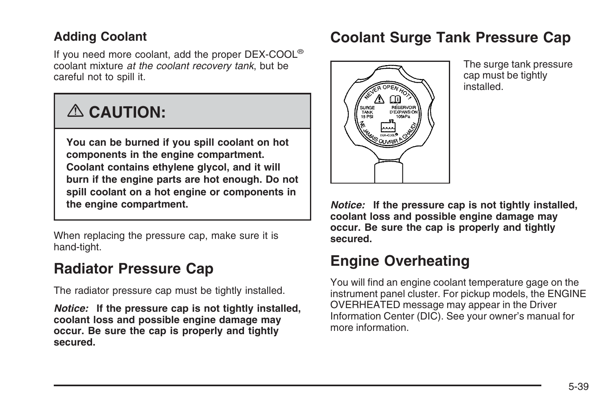#### <span id="page-62-0"></span>**Adding Coolant**

If you need more coolant, add the proper DEX-COOL® coolant mixture *at the coolant recovery tank*, but be careful not to spill it.

# {**CAUTION:**

**You can be burned if you spill coolant on hot components in the engine compartment. Coolant contains ethylene glycol, and it will burn if the engine parts are hot enough. Do not spill coolant on a hot engine or components in the engine compartment.**

When replacing the pressure cap, make sure it is hand-tight.

## **Radiator Pressure Cap**

The radiator pressure cap must be tightly installed.

*Notice:* **If the pressure cap is not tightly installed, coolant loss and possible engine damage may occur. Be sure the cap is properly and tightly secured.**

## **Coolant Surge Tank Pressure Cap**



The surge tank pressure cap must be tightly installed.

*Notice:* **If the pressure cap is not tightly installed, coolant loss and possible engine damage may occur. Be sure the cap is properly and tightly secured.**

## **Engine Overheating**

You will find an engine coolant temperature gage on the instrument panel cluster. For pickup models, the ENGINE OVERHEATED message may appear in the Driver Information Center (DIC). See your owner's manual for more information.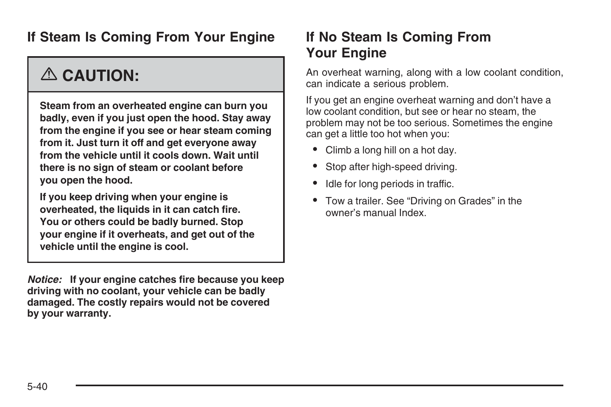## **If Steam Is Coming From Your Engine**

# {**CAUTION:**

**Steam from an overheated engine can burn you badly, even if you just open the hood. Stay away from the engine if you see or hear steam coming from it. Just turn it off and get everyone away from the vehicle until it cools down. Wait until there is no sign of steam or coolant before you open the hood.**

**If you keep driving when your engine is overheated, the liquids in it can catch fire. You or others could be badly burned. Stop your engine if it overheats, and get out of the vehicle until the engine is cool.**

*Notice:* **If your engine catches fire because you keep driving with no coolant, your vehicle can be badly damaged. The costly repairs would not be covered by your warranty.**

## **If No Steam Is Coming From Your Engine**

An overheat warning, along with a low coolant condition, can indicate a serious problem.

If you get an engine overheat warning and don't have a low coolant condition, but see or hear no steam, the problem may not be too serious. Sometimes the engine can get a little too hot when you:

- Climb a long hill on a hot day.
- Stop after high-speed driving.
- Idle for long periods in traffic.
- Tow a trailer. See "Driving on Grades" in the owner's manual Index.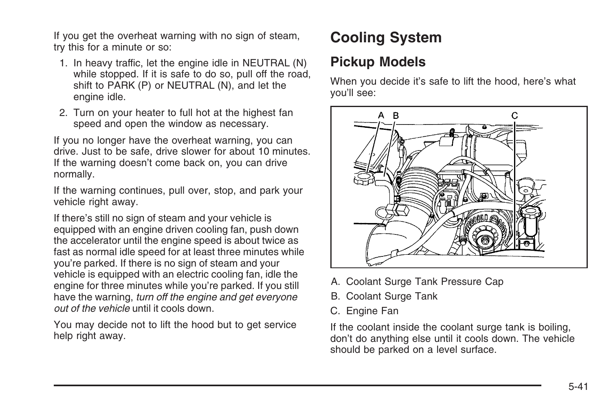If you get the overheat warning with no sign of steam, try this for a minute or so:

- 1. In heavy traffic, let the engine idle in NEUTRAL (N) while stopped. If it is safe to do so, pull off the road, shift to PARK (P) or NEUTRAL (N), and let the engine idle.
- 2. Turn on your heater to full hot at the highest fan speed and open the window as necessary.

If you no longer have the overheat warning, you can drive. Just to be safe, drive slower for about 10 minutes. If the warning doesn't come back on, you can drive normally.

If the warning continues, pull over, stop, and park your vehicle right away.

If there's still no sign of steam and your vehicle is equipped with an engine driven cooling fan, push down the accelerator until the engine speed is about twice as fast as normal idle speed for at least three minutes while you're parked. If there is no sign of steam and your vehicle is equipped with an electric cooling fan, idle the engine for three minutes while you're parked. If you still have the warning, *turn off the engine and get everyone out of the vehicle* until it cools down.

You may decide not to lift the hood but to get service help right away.

## **Cooling System**

## **Pickup Models**

When you decide it's safe to lift the hood, here's what you'll see:



- A. Coolant Surge Tank Pressure Cap
- B. Coolant Surge Tank
- C. Engine Fan

If the coolant inside the coolant surge tank is boiling, don't do anything else until it cools down. The vehicle should be parked on a level surface.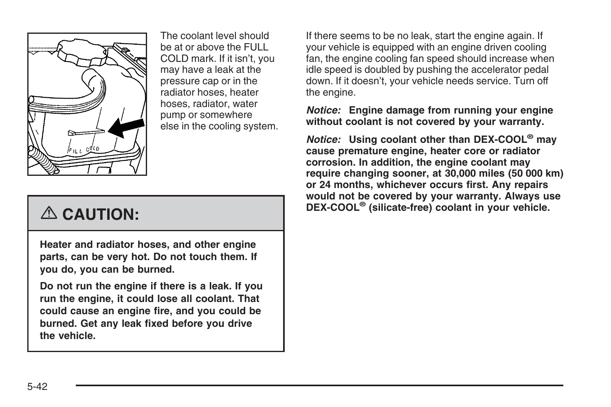

The coolant level should be at or above the FULL COLD mark. If it isn't, you may have a leak at the pressure cap or in the radiator hoses, heater hoses, radiator, water pump or somewhere else in the cooling system.

# {**CAUTION:**

**Heater and radiator hoses, and other engine parts, can be very hot. Do not touch them. If you do, you can be burned.**

**Do not run the engine if there is a leak. If you run the engine, it could lose all coolant. That could cause an engine fire, and you could be burned. Get any leak fixed before you drive the vehicle.**

If there seems to be no leak, start the engine again. If your vehicle is equipped with an engine driven cooling fan, the engine cooling fan speed should increase when idle speed is doubled by pushing the accelerator pedal down. If it doesn't, your vehicle needs service. Turn off the engine.

#### *Notice:* **Engine damage from running your engine without coolant is not covered by your warranty.**

*Notice:* **Using coolant other than DEX-COOL® may cause premature engine, heater core or radiator corrosion. In addition, the engine coolant may require changing sooner, at 30,000 miles (50 000 km) or 24 months, whichever occurs first. Any repairs would not be covered by your warranty. Always use DEX-COOL® (silicate-free) coolant in your vehicle.**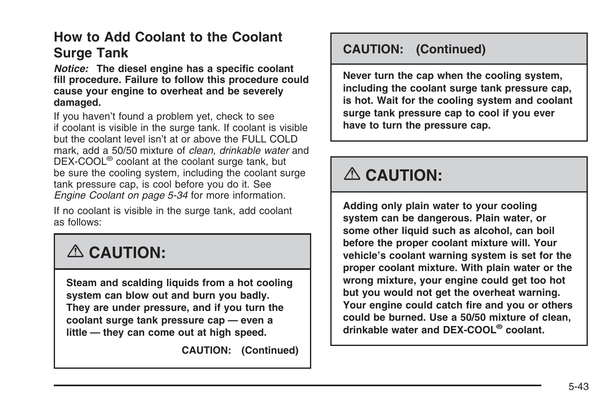## **How to Add Coolant to the Coolant Surge Tank**

*Notice:* **The diesel engine has a specific coolant fill procedure. Failure to follow this procedure could cause your engine to overheat and be severely damaged.**

If you haven't found a problem yet, check to see if coolant is visible in the surge tank. If coolant is visible but the coolant level isn't at or above the FULL COLD mark, add a 50/50 mixture of *clean, drinkable water* and DEX-COOL® coolant at the coolant surge tank, but be sure the cooling system, including the coolant surge tank pressure cap, is cool before you do it. See *[Engine Coolant](#page-57-0) on page 5-34* for more information.

If no coolant is visible in the surge tank, add coolant as follows:

# {**CAUTION:**

**Steam and scalding liquids from a hot cooling system can blow out and burn you badly. They are under pressure, and if you turn the coolant surge tank pressure cap — even a little — they can come out at high speed.**

**CAUTION: (Continued)**

#### **CAUTION: (Continued)**

**Never turn the cap when the cooling system, including the coolant surge tank pressure cap, is hot. Wait for the cooling system and coolant surge tank pressure cap to cool if you ever have to turn the pressure cap.**

## {**CAUTION:**

**Adding only plain water to your cooling system can be dangerous. Plain water, or some other liquid such as alcohol, can boil before the proper coolant mixture will. Your vehicle's coolant warning system is set for the proper coolant mixture. With plain water or the wrong mixture, your engine could get too hot but you would not get the overheat warning. Your engine could catch fire and you or others could be burned. Use a 50/50 mixture of clean, drinkable water and DEX-COOL® coolant.**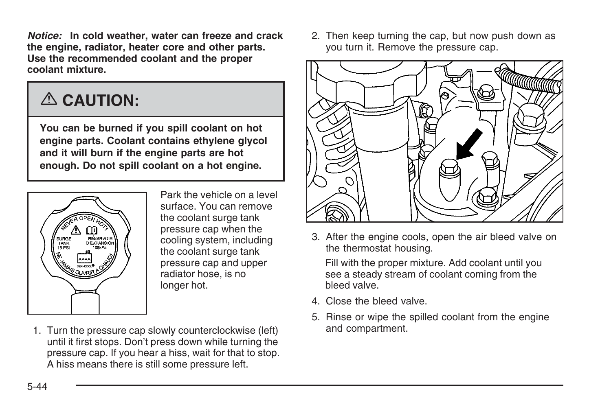*Notice:* **In cold weather, water can freeze and crack the engine, radiator, heater core and other parts. Use the recommended coolant and the proper coolant mixture.**

# {**CAUTION:**

**You can be burned if you spill coolant on hot engine parts. Coolant contains ethylene glycol and it will burn if the engine parts are hot enough. Do not spill coolant on a hot engine.**



Park the vehicle on a level surface. You can remove the coolant surge tank pressure cap when the cooling system, including the coolant surge tank pressure cap and upper radiator hose, is no longer hot.

1. Turn the pressure cap slowly counterclockwise (left) until it first stops. Don't press down while turning the pressure cap. If you hear a hiss, wait for that to stop. A hiss means there is still some pressure left.

2. Then keep turning the cap, but now push down as you turn it. Remove the pressure cap.



3. After the engine cools, open the air bleed valve on the thermostat housing.

Fill with the proper mixture. Add coolant until you see a steady stream of coolant coming from the bleed valve.

- 4. Close the bleed valve.
- 5. Rinse or wipe the spilled coolant from the engine and compartment.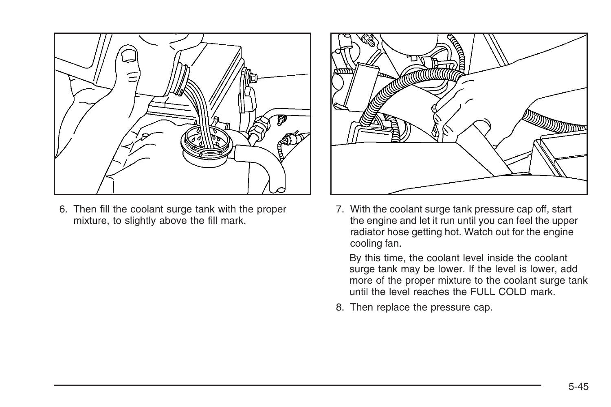

6. Then fill the coolant surge tank with the proper mixture, to slightly above the fill mark.



7. With the coolant surge tank pressure cap off, start the engine and let it run until you can feel the upper radiator hose getting hot. Watch out for the engine cooling fan.

By this time, the coolant level inside the coolant surge tank may be lower. If the level is lower, add more of the proper mixture to the coolant surge tank until the level reaches the FULL COLD mark.

8. Then replace the pressure cap.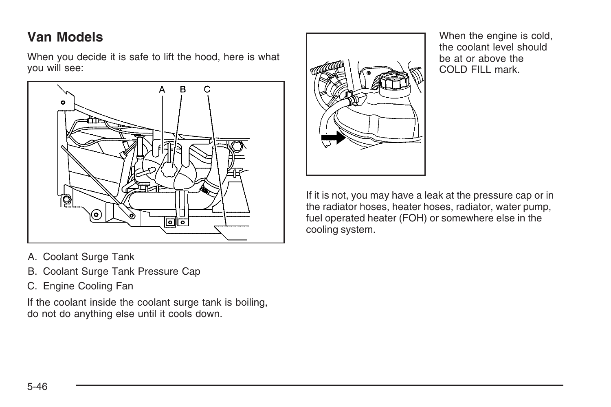## **Van Models**

When you decide it is safe to lift the hood, here is what you will see:



When the engine is cold, the coolant level should be at or above the COLD FILL mark.

If it is not, you may have a leak at the pressure cap or in the radiator hoses, heater hoses, radiator, water pump, fuel operated heater (FOH) or somewhere else in the cooling system.

- A. Coolant Surge Tank
- B. Coolant Surge Tank Pressure Cap
- C. Engine Cooling Fan

If the coolant inside the coolant surge tank is boiling, do not do anything else until it cools down.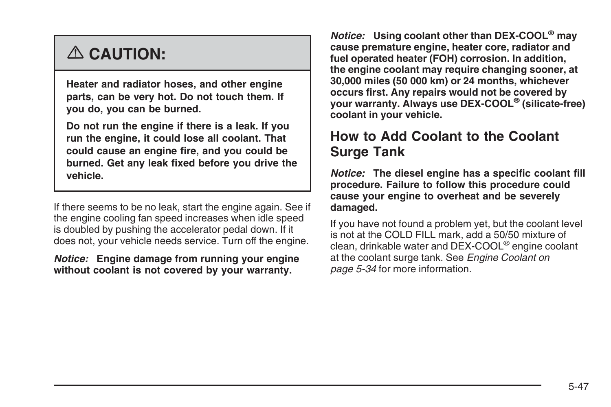# {**CAUTION:**

**Heater and radiator hoses, and other engine parts, can be very hot. Do not touch them. If you do, you can be burned.**

**Do not run the engine if there is a leak. If you run the engine, it could lose all coolant. That could cause an engine fire, and you could be burned. Get any leak fixed before you drive the vehicle.**

If there seems to be no leak, start the engine again. See if the engine cooling fan speed increases when idle speed is doubled by pushing the accelerator pedal down. If it does not, your vehicle needs service. Turn off the engine.

#### *Notice:* **Engine damage from running your engine without coolant is not covered by your warranty.**

*Notice:* **Using coolant other than DEX-COOL® may cause premature engine, heater core, radiator and fuel operated heater (FOH) corrosion. In addition, the engine coolant may require changing sooner, at 30,000 miles (50 000 km) or 24 months, whichever occurs first. Any repairs would not be covered by your warranty. Always use DEX-COOL® (silicate-free) coolant in your vehicle.**

## **How to Add Coolant to the Coolant Surge Tank**

*Notice:* **The diesel engine has a specific coolant fill procedure. Failure to follow this procedure could cause your engine to overheat and be severely damaged.**

If you have not found a problem yet, but the coolant level is not at the COLD FILL mark, add a 50/50 mixture of clean, drinkable water and DEX-COOL® engine coolant at the coolant surge tank. See *[Engine Coolant](#page-57-0) on page 5-34* for more information.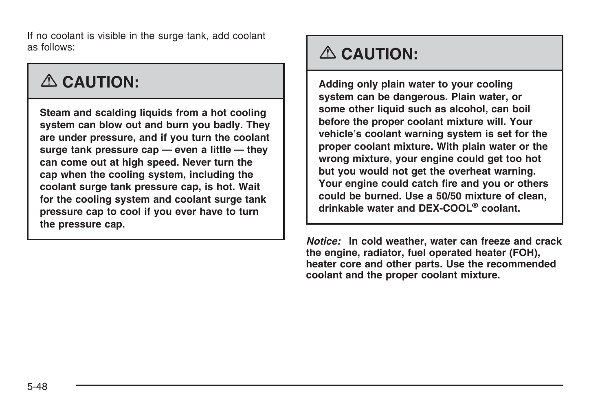If no coolant is visible in the surge tank, add coolant as follows:

## {**CAUTION:**

**Steam and scalding liquids from a hot cooling system can blow out and burn you badly. They are under pressure, and if you turn the coolant surge tank pressure cap — even a little — they can come out at high speed. Never turn the cap when the cooling system, including the coolant surge tank pressure cap, is hot. Wait for the cooling system and coolant surge tank pressure cap to cool if you ever have to turn the pressure cap.**

# {**CAUTION:**

**Adding only plain water to your cooling system can be dangerous. Plain water, or some other liquid such as alcohol, can boil before the proper coolant mixture will. Your vehicle's coolant warning system is set for the proper coolant mixture. With plain water or the wrong mixture, your engine could get too hot but you would not get the overheat warning. Your engine could catch fire and you or others could be burned. Use a 50/50 mixture of clean, drinkable water and DEX-COOL® coolant.**

*Notice:* **In cold weather, water can freeze and crack the engine, radiator, fuel operated heater (FOH), heater core and other parts. Use the recommended coolant and the proper coolant mixture.**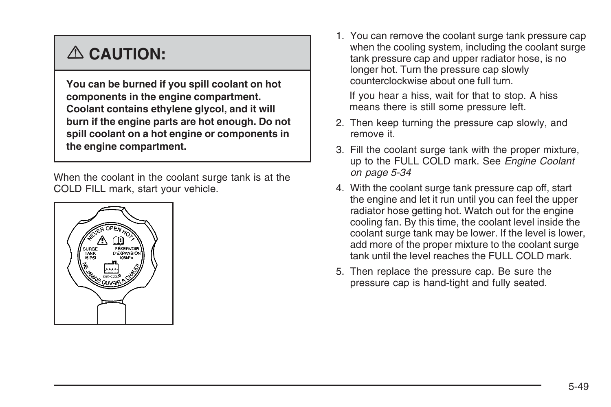# {**CAUTION:**

**You can be burned if you spill coolant on hot components in the engine compartment. Coolant contains ethylene glycol, and it will burn if the engine parts are hot enough. Do not spill coolant on a hot engine or components in the engine compartment.**

When the coolant in the coolant surge tank is at the COLD FILL mark, start your vehicle.



1. You can remove the coolant surge tank pressure cap when the cooling system, including the coolant surge tank pressure cap and upper radiator hose, is no longer hot. Turn the pressure cap slowly counterclockwise about one full turn.

If you hear a hiss, wait for that to stop. A hiss means there is still some pressure left.

- 2. Then keep turning the pressure cap slowly, and remove it.
- 3. Fill the coolant surge tank with the proper mixture, up to the FULL COLD mark. See *[Engine Coolant](#page-57-0) on page 5-34*
- 4. With the coolant surge tank pressure cap off, start the engine and let it run until you can feel the upper radiator hose getting hot. Watch out for the engine cooling fan. By this time, the coolant level inside the coolant surge tank may be lower. If the level is lower, add more of the proper mixture to the coolant surge tank until the level reaches the FULL COLD mark.
- 5. Then replace the pressure cap. Be sure the pressure cap is hand-tight and fully seated.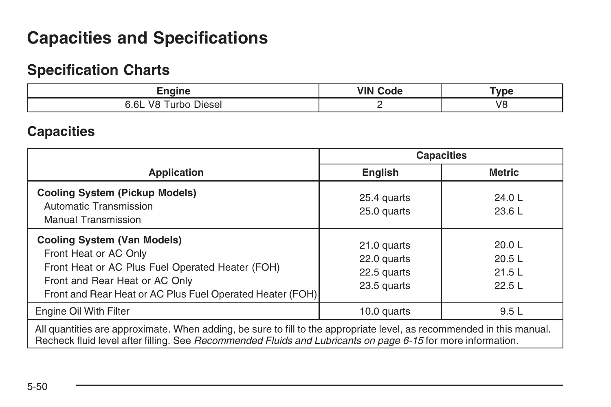## <span id="page-73-0"></span>**Capacities and Specifications**

### **Specification Charts**

| $-$                              | AZIN' | ™vpe     |
|----------------------------------|-------|----------|
| 6.6L<br>Jiesel<br>vč<br>т<br>___ |       | V8<br>__ |

### **Capacities**

|                                                                                                                                                                                                                                                                                                                                                         | <b>Capacities</b>                                        |                                   |  |
|---------------------------------------------------------------------------------------------------------------------------------------------------------------------------------------------------------------------------------------------------------------------------------------------------------------------------------------------------------|----------------------------------------------------------|-----------------------------------|--|
| <b>Application</b>                                                                                                                                                                                                                                                                                                                                      | <b>English</b>                                           | <b>Metric</b>                     |  |
| <b>Cooling System (Pickup Models)</b><br>Automatic Transmission<br><b>Manual Transmission</b>                                                                                                                                                                                                                                                           | 25.4 quarts<br>25.0 quarts                               | 24.0L<br>23.6 L                   |  |
| <b>Cooling System (Van Models)</b><br>Front Heat or AC Only<br>Front Heat or AC Plus Fuel Operated Heater (FOH)<br>Front and Rear Heat or AC Only<br>Front and Rear Heat or AC Plus Fuel Operated Heater (FOH)                                                                                                                                          | 21.0 quarts<br>22.0 quarts<br>22.5 quarts<br>23.5 quarts | 20.0 L<br>20.5L<br>21.5L<br>22.5L |  |
| Engine Oil With Filter                                                                                                                                                                                                                                                                                                                                  | 10.0 quarts                                              | 9.5L                              |  |
| All quantities are approximate. When adding, be sure to fill to the appropriate level, as recommended in this manual.<br>De elección de la contrata e distribución de la comunicación de la contrata de la comunicación de la contrata de la contrata de la contrata de la contrata de la contrata de la contrata de la contrata de la contrata de la c |                                                          |                                   |  |

Recheck fluid level after filling. See *[Recommended Fluids and Lubricants](#page-88-0) on page 6-15* for more information.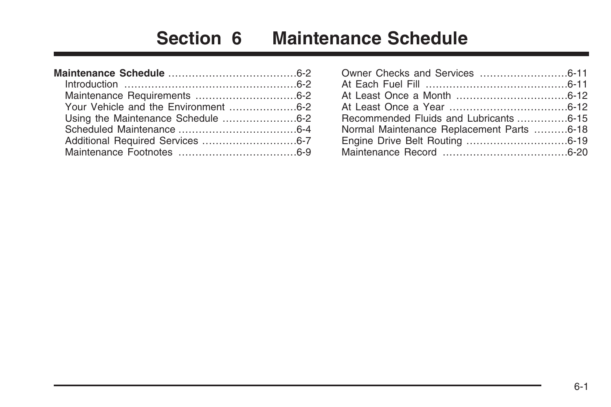# **Section 6 Maintenance Schedule**

| Your Vehicle and the Environment 6-2 |  |
|--------------------------------------|--|
| Using the Maintenance Schedule 6-2   |  |
|                                      |  |
|                                      |  |
|                                      |  |

| Recommended Fluids and Lubricants 6-15    |  |
|-------------------------------------------|--|
| Normal Maintenance Replacement Parts 6-18 |  |
|                                           |  |
|                                           |  |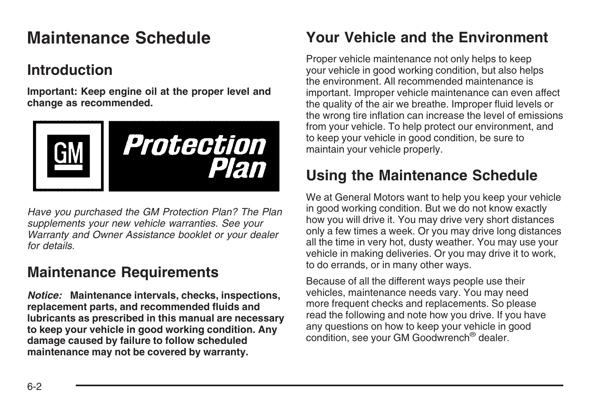## <span id="page-75-0"></span>**Maintenance Schedule**

## **Introduction**

**Important: Keep engine oil at the proper level and change as recommended.**



*Have you purchased the GM Protection Plan? The Plan supplements your new vehicle warranties. See your Warranty and Owner Assistance booklet or your dealer for details.*

### **Maintenance Requirements**

*Notice:* **Maintenance intervals, checks, inspections, replacement parts, and recommended fluids and lubricants as prescribed in this manual are necessary to keep your vehicle in good working condition. Any damage caused by failure to follow scheduled maintenance may not be covered by warranty.**

## **Your Vehicle and the Environment**

Proper vehicle maintenance not only helps to keep your vehicle in good working condition, but also helps the environment. All recommended maintenance is important. Improper vehicle maintenance can even affect the quality of the air we breathe. Improper fluid levels or the wrong tire inflation can increase the level of emissions from your vehicle. To help protect our environment, and to keep your vehicle in good condition, be sure to maintain your vehicle properly.

### **Using the Maintenance Schedule**

We at General Motors want to help you keep your vehicle in good working condition. But we do not know exactly how you will drive it. You may drive very short distances only a few times a week. Or you may drive long distances all the time in very hot, dusty weather. You may use your vehicle in making deliveries. Or you may drive it to work, to do errands, or in many other ways.

Because of all the different ways people use their vehicles, maintenance needs vary. You may need more frequent checks and replacements. So please read the following and note how you drive. If you have any questions on how to keep your vehicle in good condition, see your GM Goodwrench® dealer.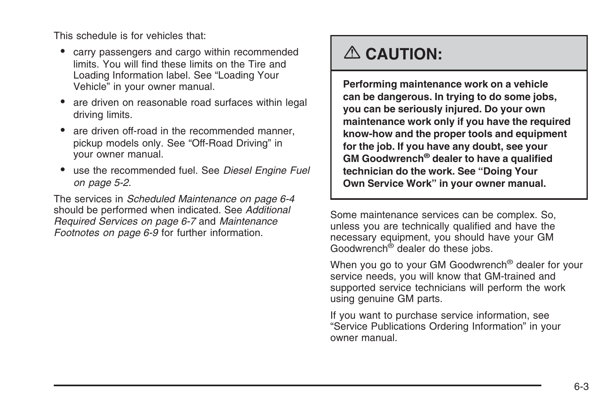This schedule is for vehicles that:

- carry passengers and cargo within recommended limits. You will find these limits on the Tire and Loading Information label. See "Loading Your Vehicle" in your owner manual.
- are driven on reasonable road surfaces within legal driving limits.
- are driven off-road in the recommended manner, pickup models only. See "Off-Road Driving" in your owner manual.
- use the recommended fuel. See *[Diesel Engine Fuel](#page-25-0) on page 5-2*.

The services in *[Scheduled Maintenance](#page-77-0) on page 6-4* should be performed when indicated. See *[Additional](#page-80-0) [Required Services](#page-80-0) on page 6-7* and *[Maintenance](#page-82-0) [Footnotes](#page-82-0) on page 6-9* for further information.

## {**CAUTION:**

**Performing maintenance work on a vehicle can be dangerous. In trying to do some jobs, you can be seriously injured. Do your own maintenance work only if you have the required know-how and the proper tools and equipment for the job. If you have any doubt, see your GM Goodwrench® dealer to have a qualified technician do the work. See "Doing Your Own Service Work" in your owner manual.**

Some maintenance services can be complex. So, unless you are technically qualified and have the necessary equipment, you should have your GM Goodwrench® dealer do these jobs.

When you go to your GM Goodwrench<sup>®</sup> dealer for your service needs, you will know that GM-trained and supported service technicians will perform the work using genuine GM parts.

If you want to purchase service information, see "Service Publications Ordering Information" in your owner manual.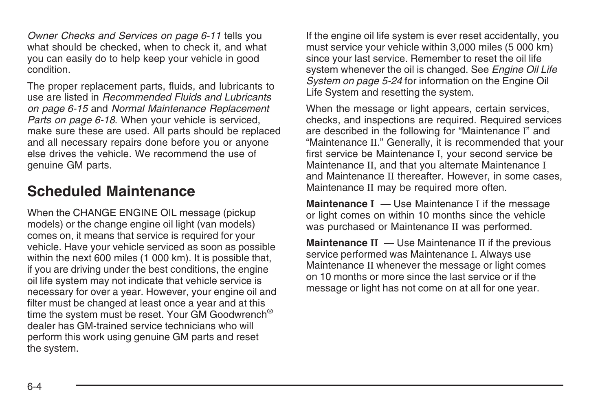<span id="page-77-0"></span>*[Owner Checks and Services](#page-84-0) on page 6-11* tells you what should be checked, when to check it, and what you can easily do to help keep your vehicle in good condition.

The proper replacement parts, fluids, and lubricants to use are listed in *[Recommended Fluids and Lubricants](#page-88-0) on page 6-15* and *[Normal Maintenance Replacement](#page-91-0) [Parts](#page-91-0) on page 6-18*. When your vehicle is serviced, make sure these are used. All parts should be replaced and all necessary repairs done before you or anyone else drives the vehicle. We recommend the use of genuine GM parts.

### **Scheduled Maintenance**

When the CHANGE ENGINE OIL message (pickup models) or the change engine oil light (van models) comes on, it means that service is required for your vehicle. Have your vehicle serviced as soon as possible within the next 600 miles (1 000 km). It is possible that, if you are driving under the best conditions, the engine oil life system may not indicate that vehicle service is necessary for over a year. However, your engine oil and filter must be changed at least once a year and at this time the system must be reset. Your GM Goodwrench® dealer has GM-trained service technicians who will perform this work using genuine GM parts and reset the system.

If the engine oil life system is ever reset accidentally, you must service your vehicle within 3,000 miles (5 000 km) since your last service. Remember to reset the oil life system whenever the oil is changed. See *[Engine Oil Life](#page-47-0) [System](#page-47-0) on page 5-24* for information on the Engine Oil Life System and resetting the system.

When the message or light appears, certain services, checks, and inspections are required. Required services are described in the following for "Maintenance I" and "Maintenance II." Generally, it is recommended that your first service be Maintenance I, your second service be Maintenance II, and that you alternate Maintenance I and Maintenance II thereafter. However, in some cases, Maintenance II may be required more often.

**Maintenance I** — Use Maintenance I if the message or light comes on within 10 months since the vehicle was purchased or Maintenance II was performed.

**Maintenance II** — Use Maintenance II if the previous service performed was Maintenance I. Always use Maintenance II whenever the message or light comes on 10 months or more since the last service or if the message or light has not come on at all for one year.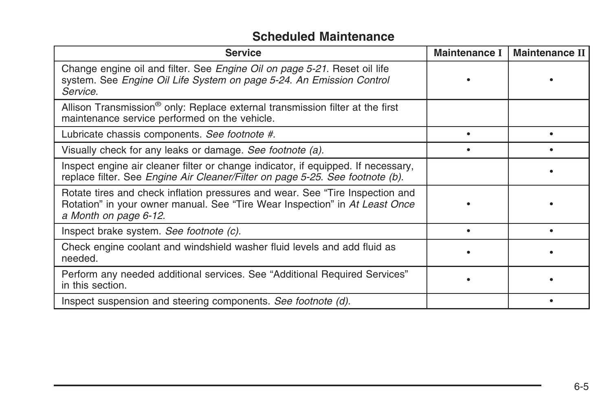#### **Scheduled Maintenance**

| <b>Service</b>                                                                                                                                                                        | <b>Maintenance I</b> | <b>Maintenance II</b> |
|---------------------------------------------------------------------------------------------------------------------------------------------------------------------------------------|----------------------|-----------------------|
| Change engine oil and filter. See Engine Oil on page 5-21. Reset oil life<br>system. See Engine Oil Life System on page 5-24. An Emission Control<br>Service.                         |                      |                       |
| Allison Transmission <sup>®</sup> only: Replace external transmission filter at the first<br>maintenance service performed on the vehicle.                                            |                      |                       |
| Lubricate chassis components. See footnote #.                                                                                                                                         |                      |                       |
| Visually check for any leaks or damage. See footnote (a).                                                                                                                             |                      |                       |
| Inspect engine air cleaner filter or change indicator, if equipped. If necessary,<br>replace filter. See Engine Air Cleaner/Filter on page 5-25. See footnote (b).                    |                      |                       |
| Rotate tires and check inflation pressures and wear. See "Tire Inspection and<br>Rotation" in your owner manual. See "Tire Wear Inspection" in At Least Once<br>a Month on page 6-12. |                      |                       |
| Inspect brake system. See footnote (c).                                                                                                                                               |                      |                       |
| Check engine coolant and windshield washer fluid levels and add fluid as<br>needed.                                                                                                   |                      |                       |
| Perform any needed additional services. See "Additional Required Services"<br>in this section.                                                                                        |                      |                       |
| Inspect suspension and steering components. See footnote (d).                                                                                                                         |                      |                       |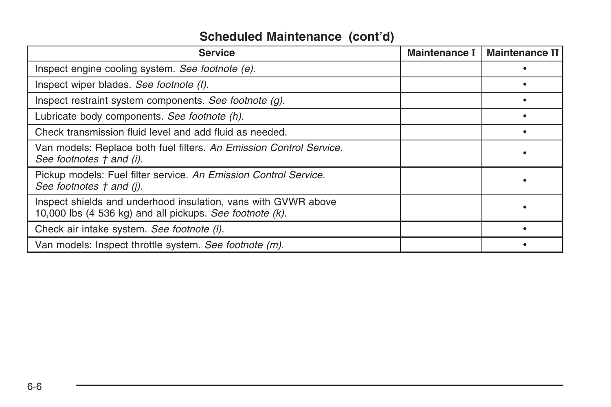### **Scheduled Maintenance (cont'd)**

| <b>Service</b>                                                                                                             | <b>Maintenance I</b> | <b>Maintenance II</b> |
|----------------------------------------------------------------------------------------------------------------------------|----------------------|-----------------------|
| Inspect engine cooling system. See footnote (e).                                                                           |                      |                       |
| Inspect wiper blades. See footnote (f).                                                                                    |                      |                       |
| Inspect restraint system components. See footnote (g).                                                                     |                      |                       |
| Lubricate body components. See footnote (h).                                                                               |                      |                       |
| Check transmission fluid level and add fluid as needed.                                                                    |                      |                       |
| Van models: Replace both fuel filters. An Emission Control Service.<br>See footnotes † and (i).                            |                      |                       |
| Pickup models: Fuel filter service. An Emission Control Service.<br>See footnotes † and (j).                               |                      |                       |
| Inspect shields and underhood insulation, vans with GVWR above<br>10,000 lbs (4 536 kg) and all pickups. See footnote (k). |                      |                       |
| Check air intake system. See footnote (I).                                                                                 |                      |                       |
| Van models: Inspect throttle system. See footnote (m).                                                                     |                      |                       |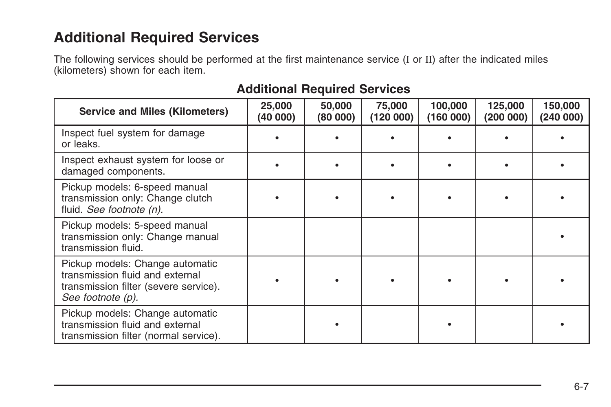### <span id="page-80-0"></span>**Additional Required Services**

The following services should be performed at the first maintenance service (I or II) after the indicated miles (kilometers) shown for each item.

#### **Additional Required Services**

| <b>Service and Miles (Kilometers)</b>                                                                                            | 25,000<br>(40 000) | 50,000<br>(80000) | 75,000<br>(120 000) | 100,000<br>(160 000) | 125,000<br>(200 000) | 150,000<br>(240000) |
|----------------------------------------------------------------------------------------------------------------------------------|--------------------|-------------------|---------------------|----------------------|----------------------|---------------------|
| Inspect fuel system for damage<br>or leaks.                                                                                      |                    |                   |                     |                      |                      |                     |
| Inspect exhaust system for loose or<br>damaged components.                                                                       |                    |                   |                     |                      |                      |                     |
| Pickup models: 6-speed manual<br>transmission only: Change clutch<br>fluid. See footnote (n).                                    |                    |                   |                     |                      |                      |                     |
| Pickup models: 5-speed manual<br>transmission only: Change manual<br>transmission fluid.                                         |                    |                   |                     |                      |                      |                     |
| Pickup models: Change automatic<br>transmission fluid and external<br>transmission filter (severe service).<br>See footnote (p). |                    |                   |                     |                      |                      |                     |
| Pickup models: Change automatic<br>transmission fluid and external<br>transmission filter (normal service).                      |                    |                   |                     |                      |                      |                     |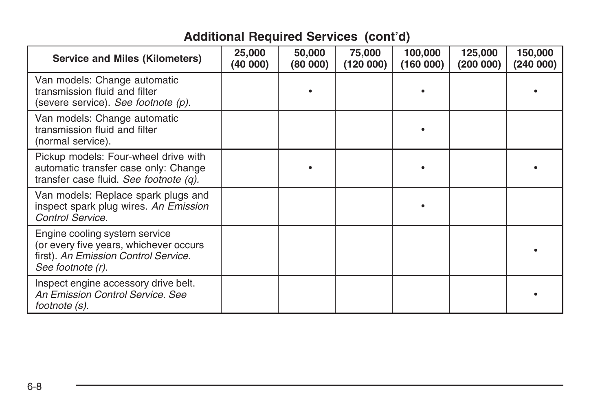### **Additional Required Services (cont'd)**

| <b>Service and Miles (Kilometers)</b>                                                                                                | 25,000<br>(40 000) | 50,000<br>(80 000) | 75,000<br>(120000) | 100,000<br>(160000) | 125,000<br>(200000) | 150,000<br>(240000) |
|--------------------------------------------------------------------------------------------------------------------------------------|--------------------|--------------------|--------------------|---------------------|---------------------|---------------------|
| Van models: Change automatic<br>transmission fluid and filter<br>(severe service). See footnote (p).                                 |                    |                    |                    |                     |                     |                     |
| Van models: Change automatic<br>transmission fluid and filter<br>(normal service).                                                   |                    |                    |                    |                     |                     |                     |
| Pickup models: Four-wheel drive with<br>automatic transfer case only: Change<br>transfer case fluid. See footnote (q).               |                    |                    |                    |                     |                     |                     |
| Van models: Replace spark plugs and<br>inspect spark plug wires. An Emission<br>Control Service.                                     |                    |                    |                    |                     |                     |                     |
| Engine cooling system service<br>(or every five years, whichever occurs<br>first). An Emission Control Service.<br>See footnote (r). |                    |                    |                    |                     |                     |                     |
| Inspect engine accessory drive belt.<br>An Emission Control Service, See<br>footnote (s).                                            |                    |                    |                    |                     |                     |                     |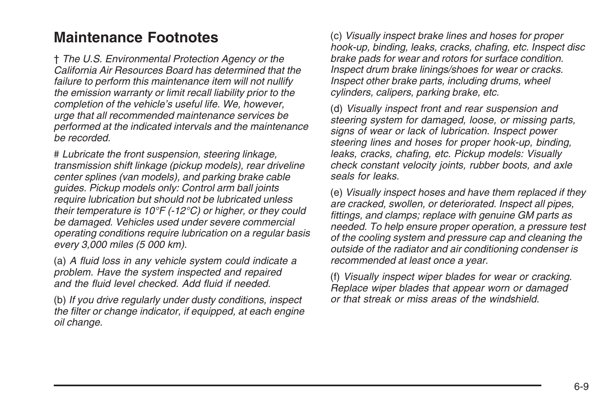### <span id="page-82-0"></span>**Maintenance Footnotes**

† *The U.S. Environmental Protection Agency or the California Air Resources Board has determined that the failure to perform this maintenance item will not nullify the emission warranty or limit recall liability prior to the completion of the vehicle's useful life. We, however, urge that all recommended maintenance services be performed at the indicated intervals and the maintenance be recorded.*

# *Lubricate the front suspension, steering linkage, transmission shift linkage (pickup models), rear driveline center splines (van models), and parking brake cable guides. Pickup models only: Control arm ball joints require lubrication but should not be lubricated unless their temperature is 10°F (-12°C) or higher, or they could be damaged. Vehicles used under severe commercial operating conditions require lubrication on a regular basis every 3,000 miles (5 000 km).*

(a) *A fluid loss in any vehicle system could indicate a problem. Have the system inspected and repaired and the fluid level checked. Add fluid if needed.*

(b) *If you drive regularly under dusty conditions, inspect the filter or change indicator, if equipped, at each engine oil change.*

(c) *Visually inspect brake lines and hoses for proper hook-up, binding, leaks, cracks, chafing, etc. Inspect disc brake pads for wear and rotors for surface condition. Inspect drum brake linings/shoes for wear or cracks. Inspect other brake parts, including drums, wheel cylinders, calipers, parking brake, etc.*

(d) *Visually inspect front and rear suspension and steering system for damaged, loose, or missing parts, signs of wear or lack of lubrication. Inspect power steering lines and hoses for proper hook-up, binding, leaks, cracks, chafing, etc. Pickup models: Visually check constant velocity joints, rubber boots, and axle seals for leaks.*

(e) *Visually inspect hoses and have them replaced if they are cracked, swollen, or deteriorated. Inspect all pipes, fittings, and clamps; replace with genuine GM parts as needed. To help ensure proper operation, a pressure test of the cooling system and pressure cap and cleaning the outside of the radiator and air conditioning condenser is recommended at least once a year.*

(f) *Visually inspect wiper blades for wear or cracking. Replace wiper blades that appear worn or damaged or that streak or miss areas of the windshield.*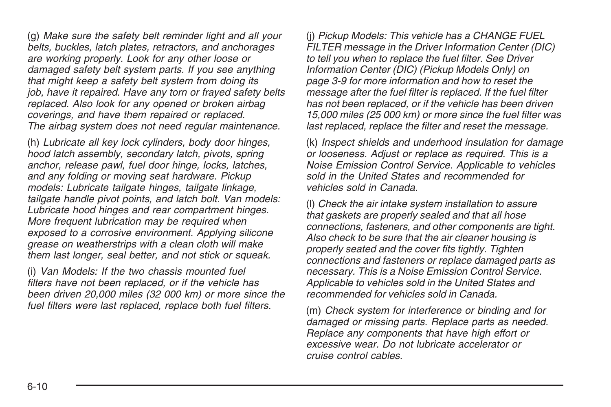(g) *Make sure the safety belt reminder light and all your belts, buckles, latch plates, retractors, and anchorages are working properly. Look for any other loose or damaged safety belt system parts. If you see anything that might keep a safety belt system from doing its job, have it repaired. Have any torn or frayed safety belts replaced. Also look for any opened or broken airbag coverings, and have them repaired or replaced. The airbag system does not need regular maintenance.*

(h) *Lubricate all key lock cylinders, body door hinges, hood latch assembly, secondary latch, pivots, spring anchor, release pawl, fuel door hinge, locks, latches, and any folding or moving seat hardware. Pickup models: Lubricate tailgate hinges, tailgate linkage, tailgate handle pivot points, and latch bolt. Van models: Lubricate hood hinges and rear compartment hinges. More frequent lubrication may be required when exposed to a corrosive environment. Applying silicone grease on weatherstrips with a clean cloth will make them last longer, seal better, and not stick or squeak.*

(i) *Van Models: If the two chassis mounted fuel filters have not been replaced, or if the vehicle has been driven 20,000 miles (32 000 km) or more since the fuel filters were last replaced, replace both fuel filters.*

(j) *Pickup Models: This vehicle has a CHANGE FUEL FILTER message in the Driver Information Center (DIC) to tell you when to replace the fuel filter. See [Driver](#page-20-0) [Information Center \(DIC\) \(Pickup Models Only\)](#page-20-0) on page 3-9 for more information and how to reset the message after the fuel filter is replaced. If the fuel filter has not been replaced, or if the vehicle has been driven 15,000 miles (25 000 km) or more since the fuel filter was last replaced, replace the filter and reset the message.*

(k) *Inspect shields and underhood insulation for damage or looseness. Adjust or replace as required. This is a Noise Emission Control Service. Applicable to vehicles sold in the United States and recommended for vehicles sold in Canada.*

(l) *Check the air intake system installation to assure that gaskets are properly sealed and that all hose connections, fasteners, and other components are tight. Also check to be sure that the air cleaner housing is properly seated and the cover fits tightly. Tighten connections and fasteners or replace damaged parts as necessary. This is a Noise Emission Control Service. Applicable to vehicles sold in the United States and recommended for vehicles sold in Canada.*

(m) *Check system for interference or binding and for damaged or missing parts. Replace parts as needed. Replace any components that have high effort or excessive wear. Do not lubricate accelerator or cruise control cables.*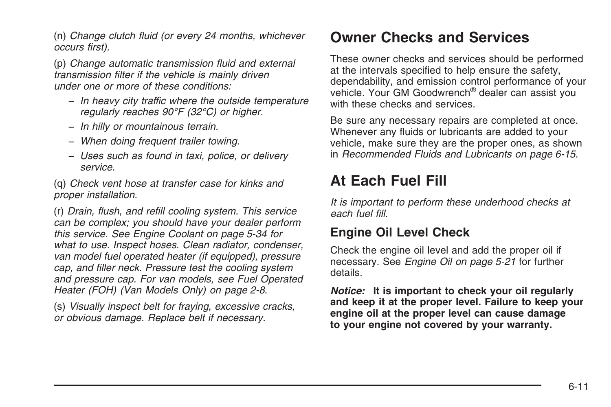<span id="page-84-0"></span>(n) *Change clutch fluid (or every 24 months, whichever occurs first).*

(p) *Change automatic transmission fluid and external transmission filter if the vehicle is mainly driven under one or more of these conditions:*

- − *In heavy city traffic where the outside temperature regularly reaches 90°F (32°C) or higher.*
- − *In hilly or mountainous terrain.*
- − *When doing frequent trailer towing.*
- − *Uses such as found in taxi, police, or delivery service.*

(q) *Check vent hose at transfer case for kinks and proper installation.*

(r) *Drain, flush, and refill cooling system. This service can be complex; you should have your dealer perform this service. See [Engine Coolant](#page-57-0) on page 5-34 for what to use. Inspect hoses. Clean radiator, condenser, van model fuel operated heater (if equipped), pressure cap, and filler neck. Pressure test the cooling system and pressure cap. For van models, see [Fuel Operated](#page-9-0) [Heater \(FOH\) \(Van Models Only\)](#page-9-0) on page 2-8*.

(s) *Visually inspect belt for fraying, excessive cracks, or obvious damage. Replace belt if necessary.*

### **Owner Checks and Services**

These owner checks and services should be performed at the intervals specified to help ensure the safety, dependability, and emission control performance of your vehicle. Your GM Goodwrench® dealer can assist you with these checks and services.

Be sure any necessary repairs are completed at once. Whenever any fluids or lubricants are added to your vehicle, make sure they are the proper ones, as shown in *[Recommended Fluids and Lubricants](#page-88-0) on page 6-15*.

### **At Each Fuel Fill**

*It is important to perform these underhood checks at each fuel fill.*

#### **Engine Oil Level Check**

Check the engine oil level and add the proper oil if necessary. See *[Engine Oil](#page-44-0) on page 5-21* for further details.

*Notice:* **It is important to check your oil regularly and keep it at the proper level. Failure to keep your engine oil at the proper level can cause damage to your engine not covered by your warranty.**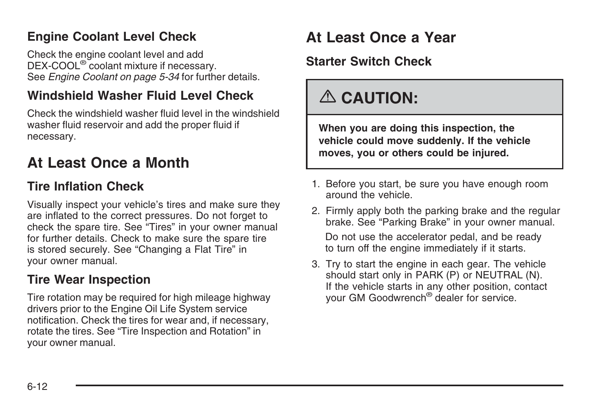#### <span id="page-85-0"></span>**Engine Coolant Level Check**

Check the engine coolant level and add DEX-COOL® coolant mixture if necessary. See *[Engine Coolant](#page-57-0) on page 5-34* for further details.

#### **Windshield Washer Fluid Level Check**

Check the windshield washer fluid level in the windshield washer fluid reservoir and add the proper fluid if necessary.

## **At Least Once a Month**

#### **Tire Inflation Check**

Visually inspect your vehicle's tires and make sure they are inflated to the correct pressures. Do not forget to check the spare tire. See "Tires" in your owner manual for further details. Check to make sure the spare tire is stored securely. See "Changing a Flat Tire" in your owner manual.

### **Tire Wear Inspection**

Tire rotation may be required for high mileage highway drivers prior to the Engine Oil Life System service notification. Check the tires for wear and, if necessary, rotate the tires. See "Tire Inspection and Rotation" in your owner manual.

## **At Least Once a Year**

#### **Starter Switch Check**

## {**CAUTION:**

**When you are doing this inspection, the vehicle could move suddenly. If the vehicle moves, you or others could be injured.**

- 1. Before you start, be sure you have enough room around the vehicle.
- 2. Firmly apply both the parking brake and the regular brake. See "Parking Brake" in your owner manual. Do not use the accelerator pedal, and be ready to turn off the engine immediately if it starts.
- 3. Try to start the engine in each gear. The vehicle should start only in PARK (P) or NEUTRAL (N). If the vehicle starts in any other position, contact your GM Goodwrench® dealer for service.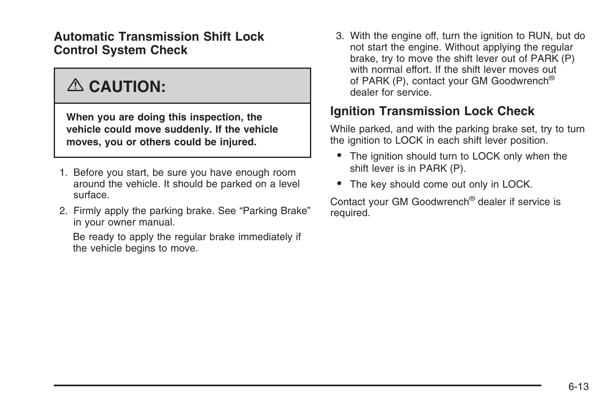**Automatic Transmission Shift Lock Control System Check**

## {**CAUTION:**

**When you are doing this inspection, the vehicle could move suddenly. If the vehicle moves, you or others could be injured.**

- 1. Before you start, be sure you have enough room around the vehicle. It should be parked on a level surface.
- 2. Firmly apply the parking brake. See "Parking Brake" in your owner manual.

Be ready to apply the regular brake immediately if the vehicle begins to move.

3. With the engine off, turn the ignition to RUN, but do not start the engine. Without applying the regular brake, try to move the shift lever out of PARK (P) with normal effort. If the shift lever moves out of PARK (P), contact your GM Goodwrench® dealer for service.

#### **Ignition Transmission Lock Check**

While parked, and with the parking brake set, try to turn the ignition to LOCK in each shift lever position.

- The ignition should turn to LOCK only when the shift lever is in PARK (P).
- The key should come out only in LOCK.

Contact your GM Goodwrench® dealer if service is required.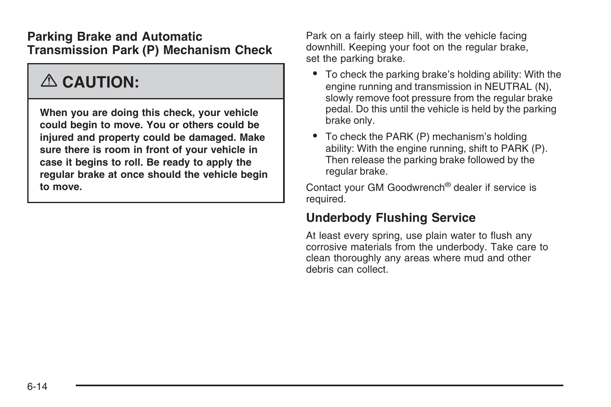#### **Parking Brake and Automatic Transmission Park (P) Mechanism Check**

## {**CAUTION:**

**When you are doing this check, your vehicle could begin to move. You or others could be injured and property could be damaged. Make sure there is room in front of your vehicle in case it begins to roll. Be ready to apply the regular brake at once should the vehicle begin to move.**

Park on a fairly steep hill, with the vehicle facing downhill. Keeping your foot on the regular brake, set the parking brake.

- To check the parking brake's holding ability: With the engine running and transmission in NEUTRAL (N), slowly remove foot pressure from the regular brake pedal. Do this until the vehicle is held by the parking brake only.
- To check the PARK (P) mechanism's holding ability: With the engine running, shift to PARK (P). Then release the parking brake followed by the regular brake.

Contact your GM Goodwrench® dealer if service is required.

#### **Underbody Flushing Service**

At least every spring, use plain water to flush any corrosive materials from the underbody. Take care to clean thoroughly any areas where mud and other debris can collect.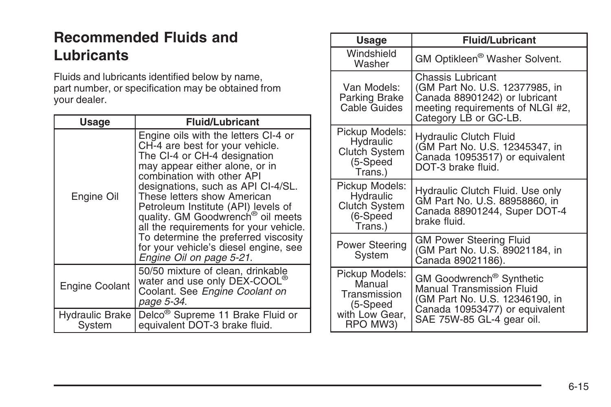## <span id="page-88-0"></span>**Recommended Fluids and Lubricants**

Fluids and lubricants identified below by name, part number, or specification may be obtained from your dealer.

| <b>Usage</b>              | <b>Fluid/Lubricant</b>                                                                                                                                                                                                                                                                                                                                                                                                                                                                      |
|---------------------------|---------------------------------------------------------------------------------------------------------------------------------------------------------------------------------------------------------------------------------------------------------------------------------------------------------------------------------------------------------------------------------------------------------------------------------------------------------------------------------------------|
| Engine Oil                | Engine oils with the letters CI-4 or<br>CH-4 are best for your vehicle.<br>The CI-4 or CH-4 designation<br>may appear either alone, or in<br>combination with other API<br>designations, such as API CI-4/SL.<br>These letters show American<br>Petroleum Institute (API) levels of<br>quality. GM Goodwrench <sup>®</sup> oil meets<br>all the requirements for your vehicle.<br>To determine the preferred viscosity<br>for your vehicle's diesel engine, see<br>Engine Oil on page 5-21. |
| Engine Coolant            | 50/50 mixture of clean, drinkable<br>water and use only DEX-COOL <sup>®</sup><br>Coolant. See Engine Coolant on<br>page 5-34.                                                                                                                                                                                                                                                                                                                                                               |
| Hydraulic Brake<br>System | Delco <sup>®</sup> Supreme 11 Brake Fluid or<br>equivalent DOT-3 brake fluid.                                                                                                                                                                                                                                                                                                                                                                                                               |

| Usage                                                                              | <b>Fluid/Lubricant</b>                                                                                                                                                    |
|------------------------------------------------------------------------------------|---------------------------------------------------------------------------------------------------------------------------------------------------------------------------|
| Windshield<br>Washer                                                               | GM Optikleen <sup>®</sup> Washer Solvent.                                                                                                                                 |
| Van Models:<br>Parking Brake<br>Cable Guides                                       | Chassis Lubricant<br>(GM Part No. U.S. 12377985, in<br>Canada 88901242) or lubricant<br>meeting requirements of NLGI #2,<br>Category LB or GC-LB.                         |
| Pickup Models:<br>Hydraulic<br><b>Clutch System</b><br>(5-Speed<br>Trans.)         | <b>Hydraulic Clutch Fluid</b><br>(GM Part No. U.S. 12345347, in<br>Canada 10953517) or equivalent<br>DOT-3 brake fluid.                                                   |
| Pickup Models:<br>Hydraulic<br><b>Clutch System</b><br>(6-Speed<br>Trans.)         | Hydraulic Clutch Fluid. Use only<br>GM Part No. U.S. 88958860, in<br>Canada 88901244, Super DOT-4<br>brake fluid.                                                         |
| Power Steering<br>System                                                           | <b>GM Power Steering Fluid</b><br>(GM Part No. U.S. 89021184, in<br>Canada 89021186).                                                                                     |
| Pickup Models:<br>Manual<br>Transmission<br>(5-Speed<br>with Low Gear,<br>RPO MW3) | GM Goodwrench <sup>®</sup> Synthetic<br><b>Manual Transmission Fluid</b><br>(GM Part No. U.S. 12346190, in<br>Canada 10953477) or equivalent<br>SAE 75W-85 GL-4 gear oil. |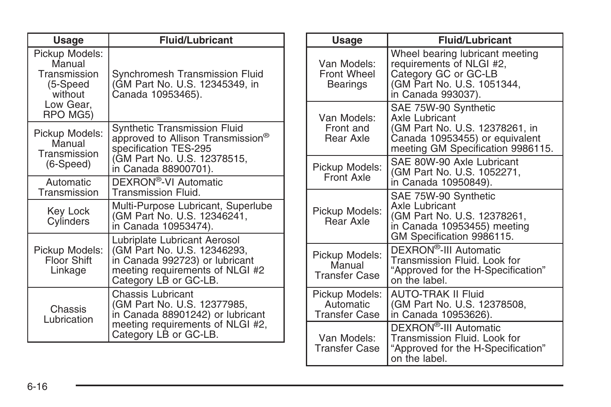| Usage                                                                                    | <b>Fluid/Lubricant</b>                                                                                                                                    |
|------------------------------------------------------------------------------------------|-----------------------------------------------------------------------------------------------------------------------------------------------------------|
| Pickup Models:<br>Manual<br>Transmission<br>(5-Speed<br>without<br>Low Gear,<br>RPO MG5) | Synchromesh Transmission Fluid<br>(GM Part No. U.S. 12345349, in<br>Canada 10953465).                                                                     |
| Pickup Models:<br>Manual<br>Transmission<br>$(6-Speed)$                                  | Synthetic Transmission Fluid<br>approved to Allison Transmission®<br>specification TES-295<br>(GM Part No. U.S. 12378515,<br>in Canada 88900701).         |
| Automatic<br>Transmission                                                                | DEXRON®-VI Automatic<br>Transmission Fluid.                                                                                                               |
| Key Lock<br>Cylinders                                                                    | Multi-Purpose Lubricant, Superlube<br>(GM Part No. U.S. 12346241,<br>in Canada 10953474).                                                                 |
| Pickup Models:<br>Floor Shift<br>Linkage                                                 | Lubriplate Lubricant Aerosol<br>(GM Part No. U.S. 12346293,<br>in Canada 992723) or lubricant<br>meeting requirements of NLGI #2<br>Category LB or GC-LB. |
| Chassis<br>Lubrication                                                                   | Chassis Lubricant<br>(GM Part No. U.S. 12377985,<br>in Canada 88901242) or lubricant<br>meeting requirements of NLGI #2,<br>Category LB or GC-LB.         |

| Usage                                               | <b>Fluid/Lubricant</b>                                                                                                                                 |
|-----------------------------------------------------|--------------------------------------------------------------------------------------------------------------------------------------------------------|
| Van Models:<br>Front Wheel<br>Bearings              | Wheel bearing lubricant meeting<br>requirements of NLGI #2,<br>Category GC or GC-LB<br>(GM Part No. U.S. 1051344,<br>in Canada 993037).                |
| Van Models:<br>Front and<br>Rear Axle               | SAE 75W-90 Synthetic<br><b>Axle Lubricant</b><br>(GM Part No. U.S. 12378261, in<br>Canada 10953455) or equivalent<br>meeting GM Specification 9986115. |
| Pickup Models:<br>Front Axle                        | SAE 80W-90 Axle Lubricant<br>(GM Part No. U.S. 1052271,<br>in Canada 10950849).                                                                        |
| Pickup Models:<br>Rear Axle                         | SAE 75W-90 Synthetic<br><b>Axle Lubricant</b><br>(GM Part No. U.S. 12378261,<br>in Canada 10953455) meeting<br>GM Specification 9986115.               |
| Pickup Models:<br>Manual<br><b>Transfer Case</b>    | DEXRON <sup>®</sup> -III Automatic<br>Transmission Fluid. Look for<br>"Approved for the H-Specification"<br>on the label.                              |
| Pickup Models:<br>Automatic<br><b>Transfer Case</b> | <b>AUTO-TRAK II Fluid</b><br>(GM Part No. U.S. 12378508,<br>in Canada 10953626).                                                                       |
| Van Models:<br>Transfer Case                        | DEXRON <sup>®</sup> -III Automatic<br>Transmission Fluid. Look for<br>"Approved for the H-Specification"<br>on the label.                              |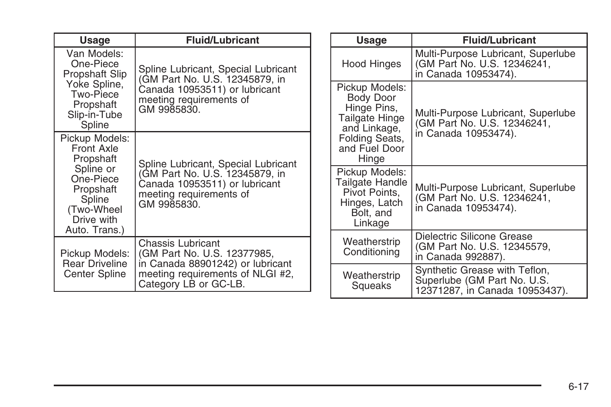| <b>Usage</b>                                                                                                                            | <b>Fluid/Lubricant</b>                                                                                    |                         | Usage                                                                                          | <b>Fluid/Lubricant</b>                                                                    |
|-----------------------------------------------------------------------------------------------------------------------------------------|-----------------------------------------------------------------------------------------------------------|-------------------------|------------------------------------------------------------------------------------------------|-------------------------------------------------------------------------------------------|
| Van Models:<br>One-Piece<br>Propshaft Slip                                                                                              | Spline Lubricant, Special Lubricant<br>(GM Part No. U.S. 12345879, in                                     | Hood Hinges             | Multi-Purpose Lubricant, Superlube<br>(GM Part No. U.S. 12346241,<br>in Canada 10953474).      |                                                                                           |
| Yoke Spline,<br>Two-Piece<br>Propshaft<br>Slip-in-Tube<br>Spline                                                                        | Canada 10953511) or lubricant<br>meeting requirements of<br>GM 9985830.                                   |                         | Pickup Models:<br>Body Door<br>Hinge Pins,<br>Tailgate Hinge<br>and Linkage,                   | Multi-Purpose Lubricant, Superlube<br>(GM Part No. U.S. 12346241,                         |
| Pickup Models:<br>Front Axle<br>Propshaft                                                                                               | Spline Lubricant, Special Lubricant                                                                       |                         | Folding Seats,<br>and Fuel Door<br>Hinge                                                       | in Canada 10953474).                                                                      |
| Spline or<br>One-Piece<br>Propshaft<br>Spline<br>(Two-Wheel<br>Drive with<br>Auto. Trans.)                                              | (GM Part No. U.S. 12345879, in<br>Canada 10953511) or lubricant<br>meeting requirements of<br>GM 9985830. |                         | Pickup Models:<br>Tailgate Handle<br>Pivot Points.<br>Hinges, Latch<br>Bolt, and<br>Linkage    | Multi-Purpose Lubricant, Superlube<br>(GM Part No. U.S. 12346241,<br>in Canada 10953474). |
| Pickup Models:                                                                                                                          | Chassis Lubricant<br>(GM Part No. U.S. 12377985,                                                          |                         | Weatherstrip<br>Conditioning                                                                   | Dielectric Silicone Grease<br>(GM Part No. U.S. 12345579,<br>in Canada 992887).           |
| in Canada 88901242) or lubricant<br><b>Rear Driveline</b><br>meeting requirements of NLGI #2,<br>Center Spline<br>Category LB or GC-LB. |                                                                                                           | Weatherstrip<br>Squeaks | Synthetic Grease with Teflon,<br>Superlube (GM Part No. U.S.<br>12371287, in Canada 10953437). |                                                                                           |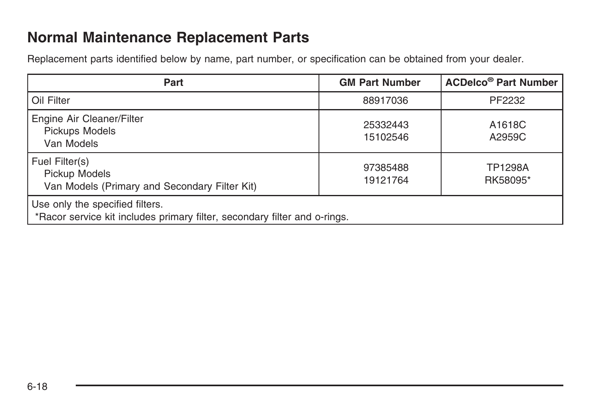### <span id="page-91-0"></span>**Normal Maintenance Replacement Parts**

Replacement parts identified below by name, part number, or specification can be obtained from your dealer.

| Part                                                                                                         | <b>GM Part Number</b> | <b>ACDelco<sup>®</sup> Part Number</b> |
|--------------------------------------------------------------------------------------------------------------|-----------------------|----------------------------------------|
| Oil Filter                                                                                                   | 88917036              | PF2232                                 |
| Engine Air Cleaner/Filter<br>Pickups Models<br>Van Models                                                    | 25332443<br>15102546  | A1618C<br>A2959C                       |
| Fuel Filter(s)<br>Pickup Models<br>Van Models (Primary and Secondary Filter Kit)                             | 97385488<br>19121764  | <b>TP1298A</b><br>RK58095*             |
| Use only the specified filters.<br>*Racor service kit includes primary filter, secondary filter and o-rings. |                       |                                        |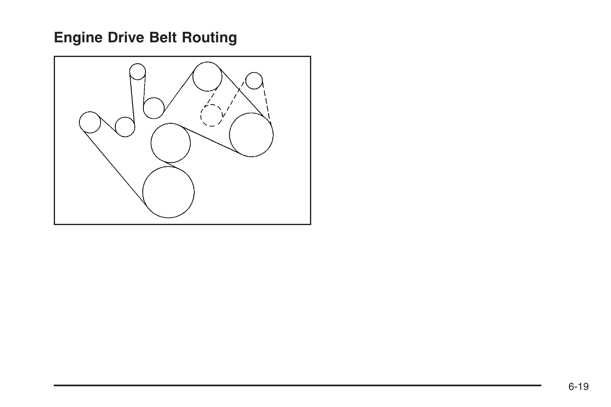## <span id="page-92-0"></span>**Engine Drive Belt Routing**

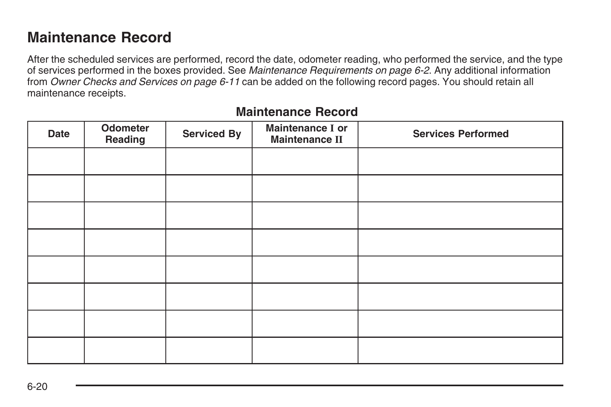### <span id="page-93-0"></span>**Maintenance Record**

After the scheduled services are performed, record the date, odometer reading, who performed the service, and the type of services performed in the boxes provided. See *[Maintenance Requirements](#page-75-0) on page 6-2*. Any additional information from *[Owner Checks and Services](#page-84-0) on page 6-11* can be added on the following record pages. You should retain all maintenance receipts.

| <b>Date</b> | Odometer<br>Reading | <b>Serviced By</b> | Maintenance I or<br><b>Maintenance II</b> | <b>Services Performed</b> |
|-------------|---------------------|--------------------|-------------------------------------------|---------------------------|
|             |                     |                    |                                           |                           |
|             |                     |                    |                                           |                           |
|             |                     |                    |                                           |                           |
|             |                     |                    |                                           |                           |
|             |                     |                    |                                           |                           |
|             |                     |                    |                                           |                           |
|             |                     |                    |                                           |                           |
|             |                     |                    |                                           |                           |

#### **Maintenance Record**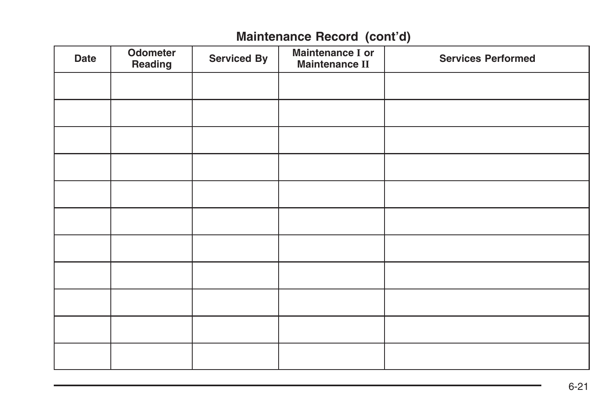### **Maintenance Record (cont'd)**

| <b>Date</b> | Odometer<br>Reading | <b>Serviced By</b> | Maintenance I or<br><b>Maintenance II</b> | <b>Services Performed</b> |
|-------------|---------------------|--------------------|-------------------------------------------|---------------------------|
|             |                     |                    |                                           |                           |
|             |                     |                    |                                           |                           |
|             |                     |                    |                                           |                           |
|             |                     |                    |                                           |                           |
|             |                     |                    |                                           |                           |
|             |                     |                    |                                           |                           |
|             |                     |                    |                                           |                           |
|             |                     |                    |                                           |                           |
|             |                     |                    |                                           |                           |
|             |                     |                    |                                           |                           |
|             |                     |                    |                                           |                           |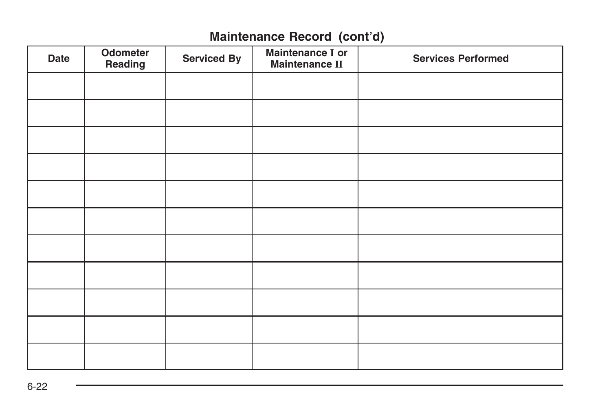### **Maintenance Record (cont'd)**

| Date | Odometer<br>Reading | <b>Serviced By</b> | Maintenance I or<br><b>Maintenance II</b> | <b>Services Performed</b> |
|------|---------------------|--------------------|-------------------------------------------|---------------------------|
|      |                     |                    |                                           |                           |
|      |                     |                    |                                           |                           |
|      |                     |                    |                                           |                           |
|      |                     |                    |                                           |                           |
|      |                     |                    |                                           |                           |
|      |                     |                    |                                           |                           |
|      |                     |                    |                                           |                           |
|      |                     |                    |                                           |                           |
|      |                     |                    |                                           |                           |
|      |                     |                    |                                           |                           |
|      |                     |                    |                                           |                           |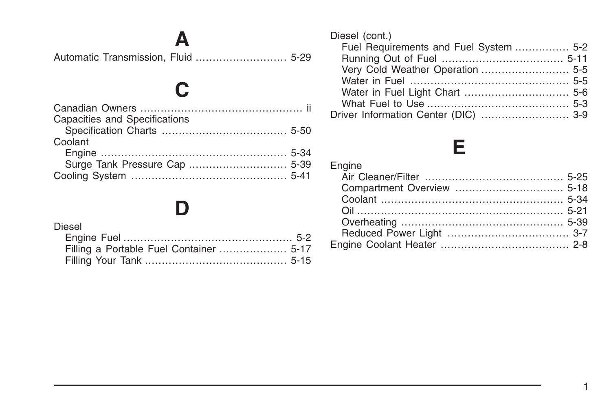**[A](#page-52-0)** [Automatic Transmission, Fluid](#page-52-0) [...........................](#page-52-0) 5-29

**[C](#page-1-0)**

## **[D](#page-25-0)**

#### [Diesel](#page-25-0)

| Diesel (cont.)                         |  |
|----------------------------------------|--|
| Fuel Requirements and Fuel System  5-2 |  |
|                                        |  |
| Very Cold Weather Operation  5-5       |  |
|                                        |  |
|                                        |  |
|                                        |  |
| Driver Information Center (DIC)  3-9   |  |
|                                        |  |

## **[E](#page-48-0)**

| Engine |  |
|--------|--|
|        |  |
|        |  |
|        |  |
|        |  |
|        |  |
|        |  |
|        |  |

1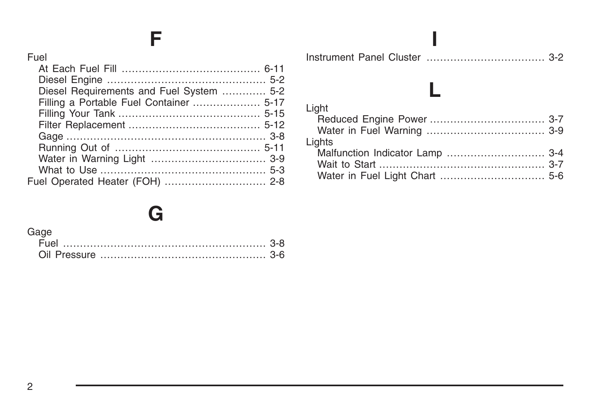## **F**

| Fuel                                     |  |
|------------------------------------------|--|
|                                          |  |
|                                          |  |
| Diesel Requirements and Fuel System  5-2 |  |
| Filling a Portable Fuel Container  5-17  |  |
|                                          |  |
|                                          |  |
|                                          |  |
|                                          |  |
|                                          |  |
|                                          |  |
| Fuel Operated Heater (FOH)  2-8          |  |

## **[G](#page-19-0)**

| Gage |  |
|------|--|
|      |  |
|      |  |

#### **[L](#page-18-0)** [Light](#page-18-0) [Reduced Engine Power](#page-18-0) [.................................. 3-7](#page-18-0) [Water in Fuel Warning](#page-20-0) [................................... 3-9](#page-20-0) [Lights](#page-15-0) [Malfunction Indicator Lamp](#page-15-0) ......[............................. 3-4](#page-15-0) [Wait to Start](#page-18-0) [................................................. 3-7](#page-18-0) [Water in Fuel Light Chart](#page-29-0) [............................... 5-6](#page-29-0)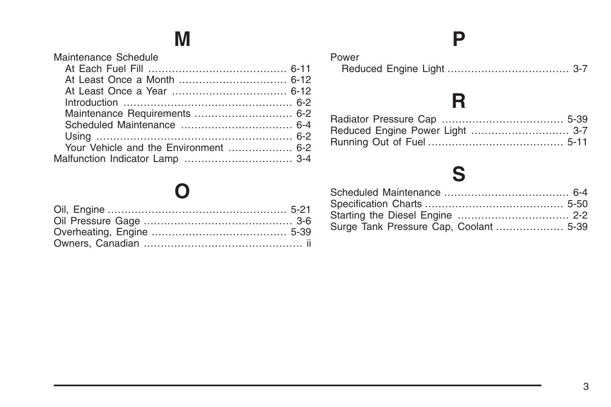# **M**

| Maintenance Schedule |  |
|----------------------|--|
|                      |  |
|                      |  |
|                      |  |
|                      |  |
|                      |  |
|                      |  |
|                      |  |
|                      |  |
|                      |  |
|                      |  |

## **[O](#page-44-0)**

## **[P](#page-18-0)**

| Power |  |
|-------|--|
|       |  |

# **[R](#page-62-0)**

## **[S](#page-77-0)**

| Surge Tank Pressure Cap, Coolant  5-39 |  |
|----------------------------------------|--|